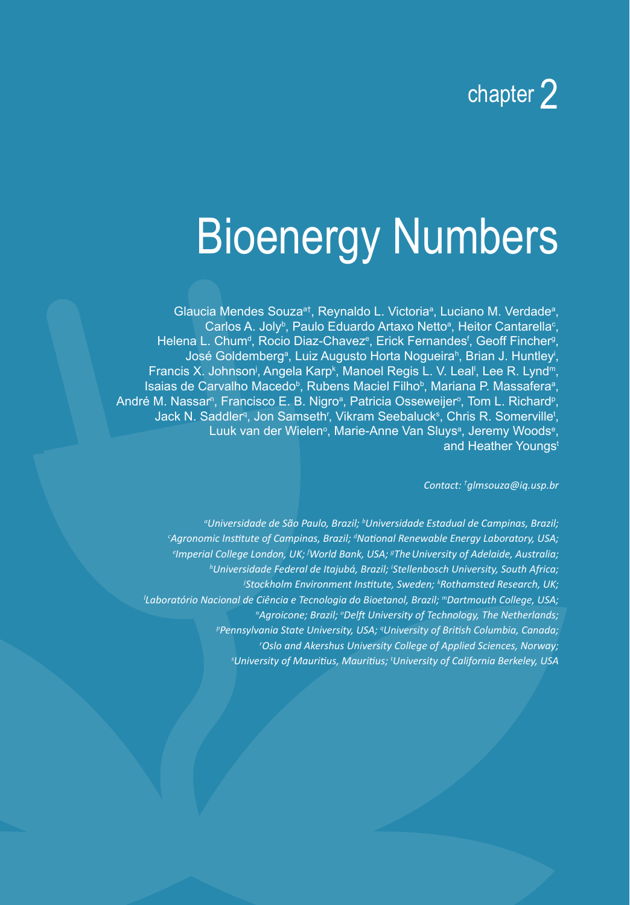## chapter 2

# Bioenergy Numbers

Glaucia Mendes Souza<sup>a†</sup>, Reynaldo L. Victoria<sup>a</sup>, Luciano M. Verdade<sup>a</sup>, Carlos A. Joly<sup>b</sup>, Paulo Eduardo Artaxo Netto<sup>a</sup>, Heitor Cantarella<sup>c</sup>, Helena L. Chum<sup>d</sup>, Rocio Diaz-Chavez<sup>e</sup>, Erick Fernandes<sup>f</sup>, Geoff Fincher<sup>g</sup>, José Goldemberg<sup>a</sup>, Luiz Augusto Horta Nogueira<sup>n</sup>, Brian J. Huntley<sup>i</sup>, Francis X. Johnson<sup>j</sup>, Angela Karp<sup>k</sup>, Manoel Regis L. V. Leal<sup>i</sup>, Lee R. Lynd<sup>m</sup>, Isaias de Carvalho Macedo<sup>b</sup>, Rubens Maciel Filho<sup>b</sup>, Mariana P. Massafera<sup>a</sup>, André M. Nassarª, Francisco E. B. Nigroª, Patricia Osseweijerº, Tom L. Richardº, Jack N. Saddler<sup>q</sup>, Jon Samseth<sup>r</sup>, Vikram Seebaluck<sup>s</sup>, Chris R. Somerville<sup>t</sup>, Luuk van der Wielen<sup>o</sup>, Marie-Anne Van Sluys<sup>a</sup>, Jeremy Woods<sup>e</sup>, and Heather Youngs<sup>t</sup>

*Contact: † glmsouza@iq.usp.br*

<sup>a</sup>Universidade de São Paulo, Brazil; <sup>b</sup>Universidade Estadual de Campinas, Brazil; *c Agronomic Institute of Campinas, Brazil; <sup>d</sup> National Renewable Energy Laboratory, USA; e Imperial College London, UK; <sup>f</sup> World Bank, USA; <sup>g</sup> TheUniversity of Adelaide, Australia; h Universidade Federal de Itajubá, Brazil; <sup>i</sup> Stellenbosch University, South Africa; j Stockholm Environment Institute, Sweden; <sup>k</sup> Rothamsted Research, UK; l Laboratório Nacional de Ciência e Tecnologia do Bioetanol, Brazil; <sup>m</sup>Dartmouth College, USA; n Agroicone; Brazil; <sup>o</sup> Delft University of Technology, The Netherlands; p Pennsylvania State University, USA; <sup>q</sup> University of British Columbia, Canada; r Oslo and Akershus University College of Applied Sciences, Norway; s University of Mauritius, Mauritius; <sup>t</sup> University of California Berkeley, USA*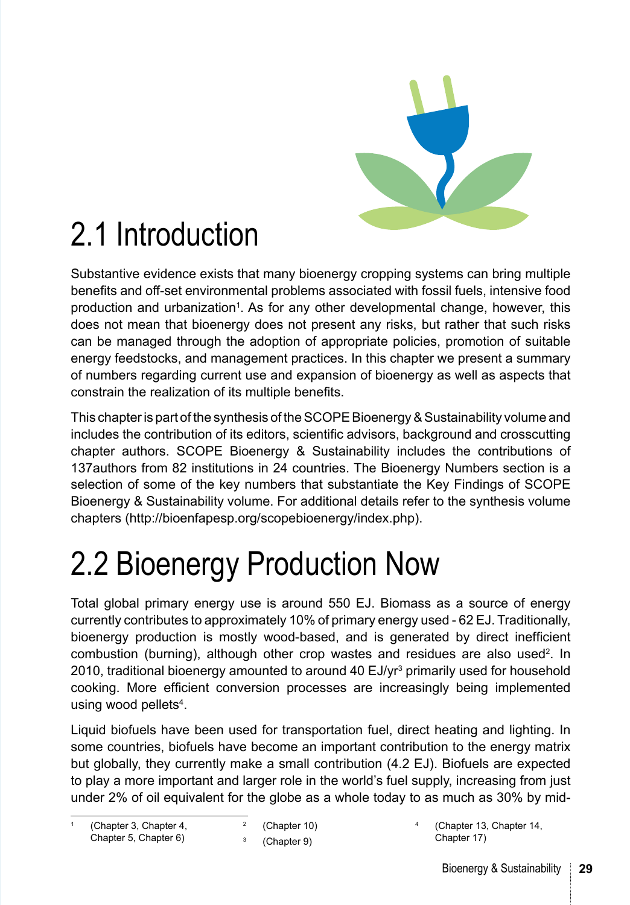

## 2.1 Introduction

Substantive evidence exists that many bioenergy cropping systems can bring multiple benefits and off-set environmental problems associated with fossil fuels, intensive food production and urbanization<sup>1</sup>. As for any other developmental change, however, this does not mean that bioenergy does not present any risks, but rather that such risks can be managed through the adoption of appropriate policies, promotion of suitable energy feedstocks, and management practices. In this chapter we present a summary of numbers regarding current use and expansion of bioenergy as well as aspects that constrain the realization of its multiple benefits.

This chapter is part of the synthesis of the SCOPE Bioenergy & Sustainability volume and includes the contribution of its editors, scientific advisors, background and crosscutting chapter authors. SCOPE Bioenergy & Sustainability includes the contributions of 137authors from 82 institutions in 24 countries. The Bioenergy Numbers section is a selection of some of the key numbers that substantiate the Key Findings of SCOPE Bioenergy & Sustainability volume. For additional details refer to the synthesis volume chapters (http://bioenfapesp.org/scopebioenergy/index.php).

## 2.2 Bioenergy Production Now

Total global primary energy use is around 550 EJ. Biomass as a source of energy currently contributes to approximately 10% of primary energy used - 62 EJ. Traditionally, bioenergy production is mostly wood-based, and is generated by direct inefficient combustion (burning), although other crop wastes and residues are also used<sup>2</sup>. In 2010, traditional bioenergy amounted to around 40 EJ/yr<sup>3</sup> primarily used for household cooking. More efficient conversion processes are increasingly being implemented using wood pellets<sup>4</sup>.

Liquid biofuels have been used for transportation fuel, direct heating and lighting. In some countries, biofuels have become an important contribution to the energy matrix but globally, they currently make a small contribution (4.2 EJ). Biofuels are expected to play a more important and larger role in the world's fuel supply, increasing from just under 2% of oil equivalent for the globe as a whole today to as much as 30% by mid-

<sup>4</sup> ([Chapter 13](#page--1-0), [Chapter 14,](#page--1-0) [Chapter 17\)](#page--1-0)

<sup>(</sup>[Chapter 3](#page--1-0), [Chapter 4,](#page--1-0) [Chapter 5,](#page--1-0) [Chapter 6\)](#page--1-0)

<sup>2</sup> ([Chapter 10](#page--1-0))

<sup>3</sup> ([Chapter 9](#page--1-0))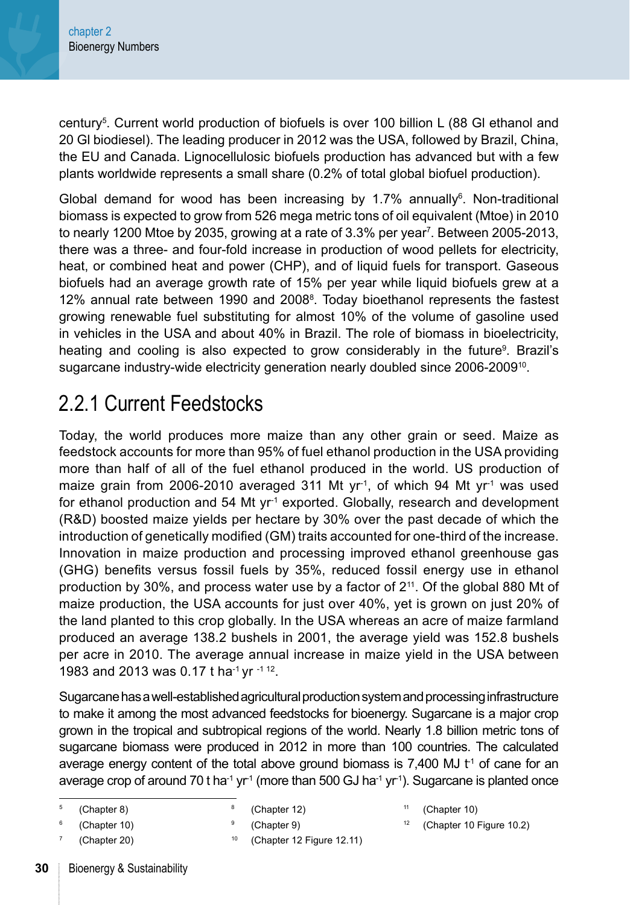century5 . Current world production of biofuels is over 100 billion L (88 Gl ethanol and 20 Gl biodiesel). The leading producer in 2012 was the USA, followed by Brazil, China, the EU and Canada. Lignocellulosic biofuels production has advanced but with a few plants worldwide represents a small share (0.2% of total global biofuel production).

Global demand for wood has been increasing by 1.7% annually $^6$ . Non-traditional biomass is expected to grow from 526 mega metric tons of oil equivalent (Mtoe) in 2010 to nearly 1200 Mtoe by 2035, growing at a rate of 3.3% per year<sup>7</sup>. Between 2005-2013, there was a three- and four-fold increase in production of wood pellets for electricity, heat, or combined heat and power (CHP), and of liquid fuels for transport. Gaseous biofuels had an average growth rate of 15% per year while liquid biofuels grew at a 12% annual rate between 1990 and 20088 . Today bioethanol represents the fastest growing renewable fuel substituting for almost 10% of the volume of gasoline used in vehicles in the USA and about 40% in Brazil. The role of biomass in bioelectricity, heating and cooling is also expected to grow considerably in the future<sup>9</sup>. Brazil's sugarcane industry-wide electricity generation nearly doubled since 2006-2009<sup>10</sup>.

## 2.2.1 Current Feedstocks

Today, the world produces more maize than any other grain or seed. Maize as feedstock accounts for more than 95% of fuel ethanol production in the USA providing more than half of all of the fuel ethanol produced in the world. US production of maize grain from 2006-2010 averaged 311 Mt yr<sup>-1</sup>, of which 94 Mt yr<sup>-1</sup> was used for ethanol production and 54 Mt  $yr<sup>-1</sup>$  exported. Globally, research and development (R&D) boosted maize yields per hectare by 30% over the past decade of which the introduction of genetically modified (GM) traits accounted for one-third of the increase. Innovation in maize production and processing improved ethanol greenhouse gas (GHG) benefits versus fossil fuels by 35%, reduced fossil energy use in ethanol production by 30%, and process water use by a factor of 2<sup>11</sup>. Of the global 880 Mt of maize production, the USA accounts for just over 40%, yet is grown on just 20% of the land planted to this crop globally. In the USA whereas an acre of maize farmland produced an average 138.2 bushels in 2001, the average yield was 152.8 bushels per acre in 2010. The average annual increase in maize yield in the USA between 1983 and 2013 was 0.17 t ha<sup>-1</sup> yr <sup>-1 12</sup>.

Sugarcane has a well-established agricultural production system and processing infrastructure to make it among the most advanced feedstocks for bioenergy. Sugarcane is a major crop grown in the tropical and subtropical regions of the world. Nearly 1.8 billion metric tons of sugarcane biomass were produced in 2012 in more than 100 countries. The calculated average energy content of the total above ground biomass is 7,400 MJ  $t<sup>1</sup>$  of cane for an average crop of around 70 t ha<sup>-1</sup> yr<sup>-1</sup> (more than 500 GJ ha<sup>-1</sup> yr<sup>-1</sup>). Sugarcane is planted once

- <sup>8</sup> [\(Chapter 12\)](#page--1-0) <sup>9</sup> [\(Chapter 9\)](#page--1-0)
	- [\(Chapter 12 Figure 12.11\)](#page--1-0)
- [\(Chapter 10\)](#page--1-0)
- <sup>12</sup> [\(Chapter 10 Figure 10.2](#page--1-0))

<sup>5</sup> [\(Chapter 8](#page--1-0))

<sup>6</sup> [\(Chapter 10\)](#page--1-0)

[<sup>\(</sup>Chapter 20\)](#page--1-0)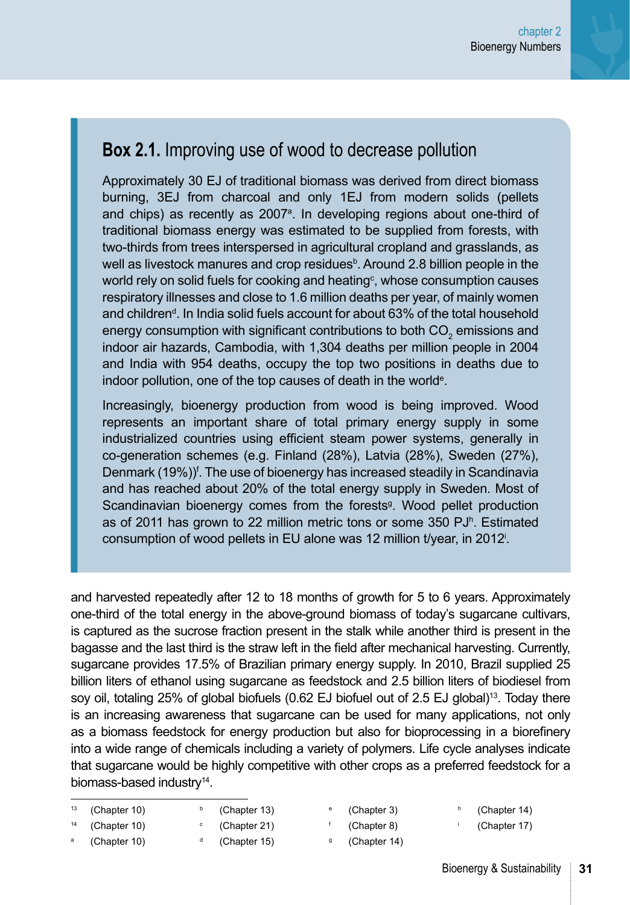### **Box 2.1.** Improving use of wood to decrease pollution

Approximately 30 EJ of traditional biomass was derived from direct biomass burning, 3EJ from charcoal and only 1EJ from modern solids (pellets and chips) as recently as 2007<sup>a</sup>. In developing regions about one-third of traditional biomass energy was estimated to be supplied from forests, with two-thirds from trees interspersed in agricultural cropland and grasslands, as well as livestock manures and crop residues<sup>b</sup>. Around 2.8 billion people in the world rely on solid fuels for cooking and heating $\mathbf{\ ^{c}}$ , whose consumption causes respiratory illnesses and close to 1.6 million deaths per year, of mainly women and children<sup>d</sup>. In India solid fuels account for about 63% of the total household energy consumption with significant contributions to both CO<sub>2</sub> emissions and indoor air hazards, Cambodia, with 1,304 deaths per million people in 2004 and India with 954 deaths, occupy the top two positions in deaths due to indoor pollution, one of the top causes of death in the world<sup>e</sup>.

Increasingly, bioenergy production from wood is being improved. Wood represents an important share of total primary energy supply in some industrialized countries using efficient steam power systems, generally in co-generation schemes (e.g. Finland (28%), Latvia (28%), Sweden (27%), Denmark (19%))<sup>f</sup>. The use of bioenergy has increased steadily in Scandinavia and has reached about 20% of the total energy supply in Sweden. Most of Scandinavian bioenergy comes from the forests<sup>9</sup>. Wood pellet production as of 2011 has grown to 22 million metric tons or some 350 PJ<sup>h</sup>. Estimated consumption of wood pellets in EU alone was 12 million t/year, in 2012<sup>i</sup> .

and harvested repeatedly after 12 to 18 months of growth for 5 to 6 years. Approximately one-third of the total energy in the above-ground biomass of today's sugarcane cultivars, is captured as the sucrose fraction present in the stalk while another third is present in the bagasse and the last third is the straw left in the field after mechanical harvesting. Currently, sugarcane provides 17.5% of Brazilian primary energy supply. In 2010, Brazil supplied 25 billion liters of ethanol using sugarcane as feedstock and 2.5 billion liters of biodiesel from soy oil, totaling 25% of global biofuels (0.62 EJ biofuel out of 2.5 EJ global)<sup>13</sup>. Today there is an increasing awareness that sugarcane can be used for many applications, not only as a biomass feedstock for energy production but also for bioprocessing in a biorefinery into a wide range of chemicals including a variety of polymers. Life cycle analyses indicate that sugarcane would be highly competitive with other crops as a preferred feedstock for a biomass-based industry<sup>14</sup>.

| (Chapter 10) | (Chapter 13) |
|--------------|--------------|
| (Chapter 10) | (Chapter 21) |

- [\(Chapter 3](#page--1-0))
- [\(Chapter 14\)](#page--1-0) <sup>i</sup> [\(Chapter 17\)](#page--1-0)
- ([Chapter 10](#page--1-0))
- <sup>d</sup> [\(Chapter 15](#page--1-0))
- <sup>f</sup> [\(Chapter 8](#page--1-0))
- <sup>g</sup> [\(Chapter 14](#page--1-0))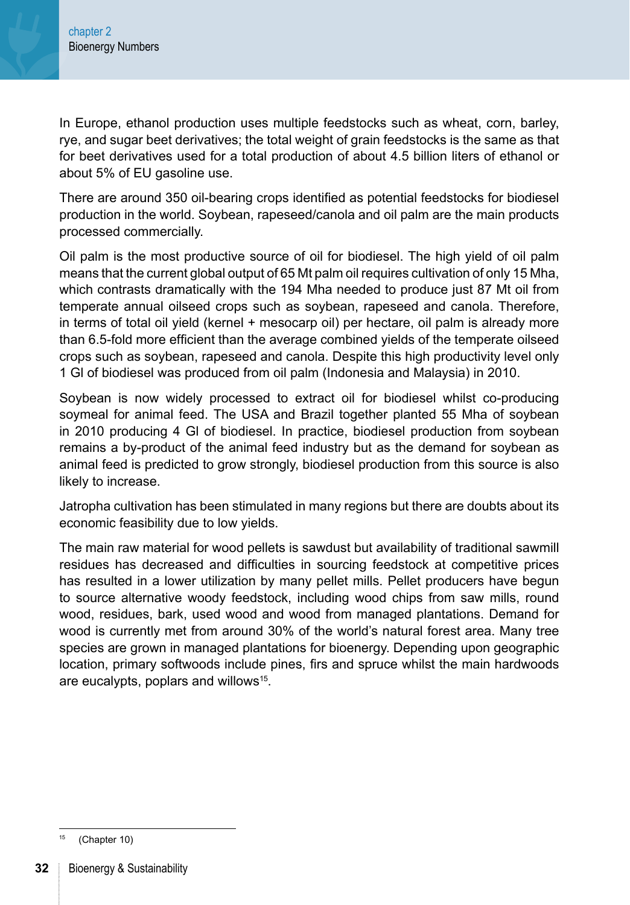In Europe, ethanol production uses multiple feedstocks such as wheat, corn, barley, rye, and sugar beet derivatives; the total weight of grain feedstocks is the same as that for beet derivatives used for a total production of about 4.5 billion liters of ethanol or about 5% of EU gasoline use.

There are around 350 oil-bearing crops identified as potential feedstocks for biodiesel production in the world. Soybean, rapeseed/canola and oil palm are the main products processed commercially.

Oil palm is the most productive source of oil for biodiesel. The high yield of oil palm means that the current global output of 65 Mt palm oil requires cultivation of only 15 Mha, which contrasts dramatically with the 194 Mha needed to produce just 87 Mt oil from temperate annual oilseed crops such as soybean, rapeseed and canola. Therefore, in terms of total oil yield (kernel + mesocarp oil) per hectare, oil palm is already more than 6.5-fold more efficient than the average combined yields of the temperate oilseed crops such as soybean, rapeseed and canola. Despite this high productivity level only 1 Gl of biodiesel was produced from oil palm (Indonesia and Malaysia) in 2010.

Soybean is now widely processed to extract oil for biodiesel whilst co-producing soymeal for animal feed. The USA and Brazil together planted 55 Mha of soybean in 2010 producing 4 Gl of biodiesel. In practice, biodiesel production from soybean remains a by-product of the animal feed industry but as the demand for soybean as animal feed is predicted to grow strongly, biodiesel production from this source is also likely to increase.

Jatropha cultivation has been stimulated in many regions but there are doubts about its economic feasibility due to low yields.

The main raw material for wood pellets is sawdust but availability of traditional sawmill residues has decreased and difficulties in sourcing feedstock at competitive prices has resulted in a lower utilization by many pellet mills. Pellet producers have begun to source alternative woody feedstock, including wood chips from saw mills, round wood, residues, bark, used wood and wood from managed plantations. Demand for wood is currently met from around 30% of the world's natural forest area. Many tree species are grown in managed plantations for bioenergy. Depending upon geographic location, primary softwoods include pines, firs and spruce whilst the main hardwoods are eucalypts, poplars and willows15.

[<sup>\(</sup>Chapter 10\)](#page--1-0)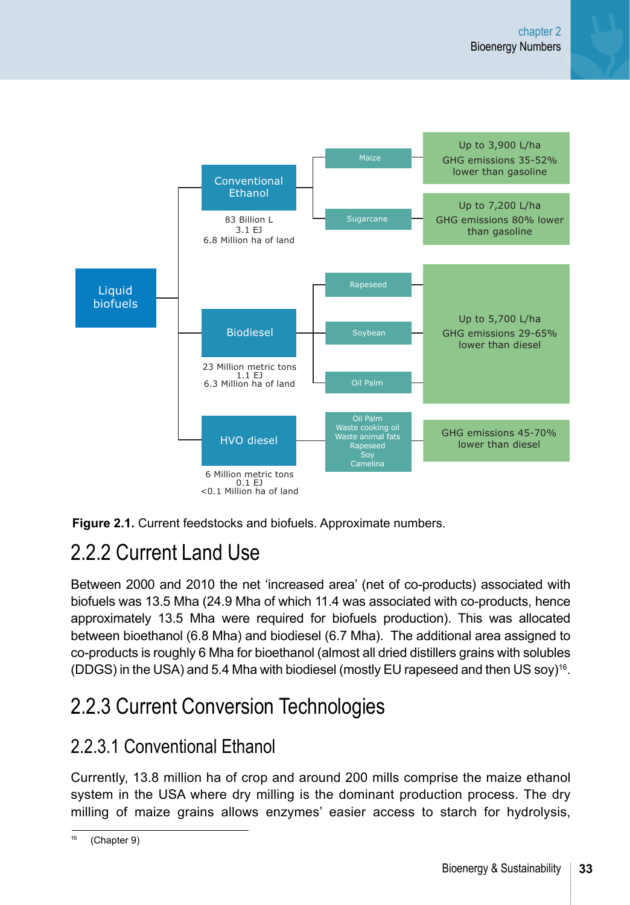



## 2.2.2 Current Land Use

Between 2000 and 2010 the net 'increased area' (net of co-products) associated with biofuels was 13.5 Mha (24.9 Mha of which 11.4 was associated with co-products, hence approximately 13.5 Mha were required for biofuels production). This was allocated between bioethanol (6.8 Mha) and biodiesel (6.7 Mha). The additional area assigned to co-products is roughly 6 Mha for bioethanol (almost all dried distillers grains with solubles (DDGS) in the USA) and 5.4 Mha with biodiesel (mostly EU rapeseed and then US soy)<sup>16</sup>.

## 2.2.3 Current Conversion Technologies

### 2.2.3.1 Conventional Ethanol

Currently, 13.8 million ha of crop and around 200 mills comprise the maize ethanol system in the USA where dry milling is the dominant production process. The dry milling of maize grains allows enzymes' easier access to starch for hydrolysis,

<sup>(</sup>[Chapter 9](#page--1-0))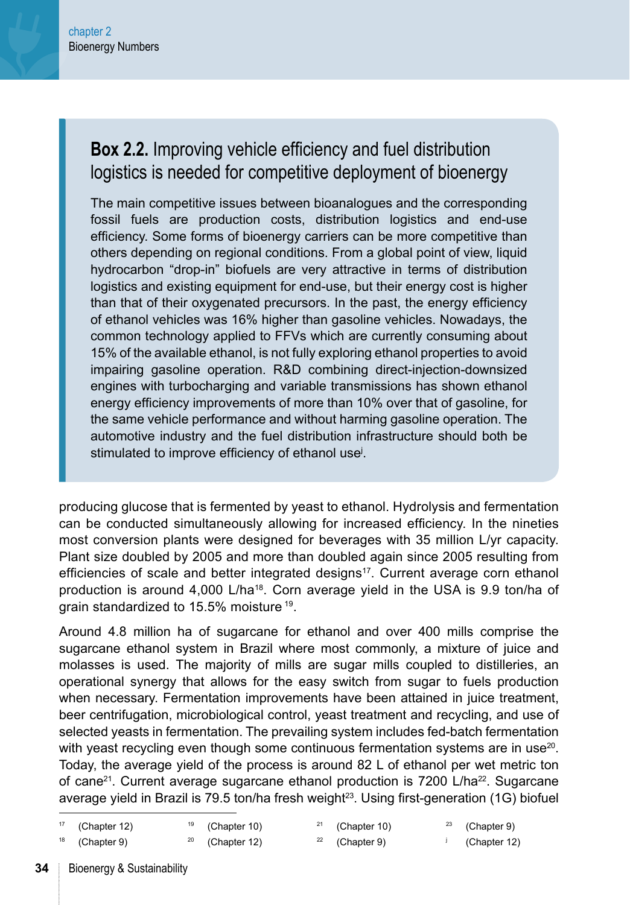### **Box 2.2.** Improving vehicle efficiency and fuel distribution logistics is needed for competitive deployment of bioenergy

The main competitive issues between bioanalogues and the corresponding fossil fuels are production costs, distribution logistics and end-use efficiency. Some forms of bioenergy carriers can be more competitive than others depending on regional conditions. From a global point of view, liquid hydrocarbon "drop-in" biofuels are very attractive in terms of distribution logistics and existing equipment for end-use, but their energy cost is higher than that of their oxygenated precursors. In the past, the energy efficiency of ethanol vehicles was 16% higher than gasoline vehicles. Nowadays, the common technology applied to FFVs which are currently consuming about 15% of the available ethanol, is not fully exploring ethanol properties to avoid impairing gasoline operation. R&D combining direct-injection-downsized engines with turbocharging and variable transmissions has shown ethanol energy efficiency improvements of more than 10% over that of gasoline, for the same vehicle performance and without harming gasoline operation. The automotive industry and the fuel distribution infrastructure should both be stimulated to improve efficiency of ethanol usej .

producing glucose that is fermented by yeast to ethanol. Hydrolysis and fermentation can be conducted simultaneously allowing for increased efficiency. In the nineties most conversion plants were designed for beverages with 35 million L/yr capacity. Plant size doubled by 2005 and more than doubled again since 2005 resulting from efficiencies of scale and better integrated designs<sup>17</sup>. Current average corn ethanol production is around 4,000 L/ha<sup>18</sup>. Corn average yield in the USA is 9.9 ton/ha of grain standardized to 15.5% moisture 19.

Around 4.8 million ha of sugarcane for ethanol and over 400 mills comprise the sugarcane ethanol system in Brazil where most commonly, a mixture of juice and molasses is used. The majority of mills are sugar mills coupled to distilleries, an operational synergy that allows for the easy switch from sugar to fuels production when necessary. Fermentation improvements have been attained in juice treatment, beer centrifugation, microbiological control, yeast treatment and recycling, and use of selected yeasts in fermentation. The prevailing system includes fed-batch fermentation with yeast recycling even though some continuous fermentation systems are in use $20$ . Today, the average yield of the process is around 82 L of ethanol per wet metric ton of cane<sup>21</sup>. Current average sugarcane ethanol production is 7200 L/ha<sup>22</sup>. Sugarcane average yield in Brazil is 79.5 ton/ha fresh weight $^{23}$ . Using first-generation (1G) biofuel

([Chapter 9\)](#page--1-0)

([Chapter 12](#page--1-0))

|  | $17$ (Chapter 12) |  | $19$ (Chapter 10) |  | $21$ (Chapter 10) |  | $23$ (Chapter 9) |
|--|-------------------|--|-------------------|--|-------------------|--|------------------|
|--|-------------------|--|-------------------|--|-------------------|--|------------------|

([Chapter 12](#page--1-0))

$$
^{18}
$$
 (Chapter 9)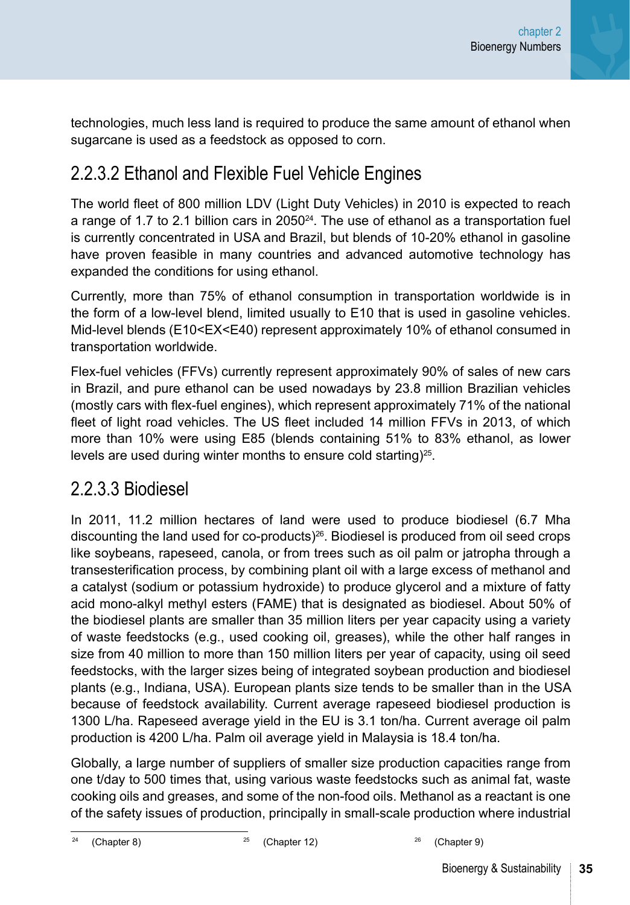technologies, much less land is required to produce the same amount of ethanol when sugarcane is used as a feedstock as opposed to corn.

### 2.2.3.2 Ethanol and Flexible Fuel Vehicle Engines

The world fleet of 800 million LDV (Light Duty Vehicles) in 2010 is expected to reach a range of 1.7 to 2.1 billion cars in 2050 $24$ . The use of ethanol as a transportation fuel is currently concentrated in USA and Brazil, but blends of 10-20% ethanol in gasoline have proven feasible in many countries and advanced automotive technology has expanded the conditions for using ethanol.

Currently, more than 75% of ethanol consumption in transportation worldwide is in the form of a low-level blend, limited usually to E10 that is used in gasoline vehicles. Mid-level blends (E10<EX<E40) represent approximately 10% of ethanol consumed in transportation worldwide.

Flex-fuel vehicles (FFVs) currently represent approximately 90% of sales of new cars in Brazil, and pure ethanol can be used nowadays by 23.8 million Brazilian vehicles (mostly cars with flex-fuel engines), which represent approximately 71% of the national fleet of light road vehicles. The US fleet included 14 million FFVs in 2013, of which more than 10% were using E85 (blends containing 51% to 83% ethanol, as lower levels are used during winter months to ensure cold starting)<sup>25</sup>.

### 2.2.3.3 Biodiesel

In 2011, 11.2 million hectares of land were used to produce biodiesel (6.7 Mha discounting the land used for co-products $2^{26}$ . Biodiesel is produced from oil seed crops like soybeans, rapeseed, canola, or from trees such as oil palm or jatropha through a transesterification process, by combining plant oil with a large excess of methanol and a catalyst (sodium or potassium hydroxide) to produce glycerol and a mixture of fatty acid mono-alkyl methyl esters (FAME) that is designated as biodiesel. About 50% of the biodiesel plants are smaller than 35 million liters per year capacity using a variety of waste feedstocks (e.g., used cooking oil, greases), while the other half ranges in size from 40 million to more than 150 million liters per year of capacity, using oil seed feedstocks, with the larger sizes being of integrated soybean production and biodiesel plants (e.g., Indiana, USA). European plants size tends to be smaller than in the USA because of feedstock availability. Current average rapeseed biodiesel production is 1300 L/ha. Rapeseed average yield in the EU is 3.1 ton/ha. Current average oil palm production is 4200 L/ha. Palm oil average yield in Malaysia is 18.4 ton/ha.

Globally, a large number of suppliers of smaller size production capacities range from one t/day to 500 times that, using various waste feedstocks such as animal fat, waste cooking oils and greases, and some of the non-food oils. Methanol as a reactant is one of the safety issues of production, principally in small-scale production where industrial

<sup>24</sup> [\(Chapter 8](#page--1-0)) <sup>25</sup> ([Chapter 12](#page--1-0)) <sup>26</sup> [\(Chapter 9\)](#page--1-0)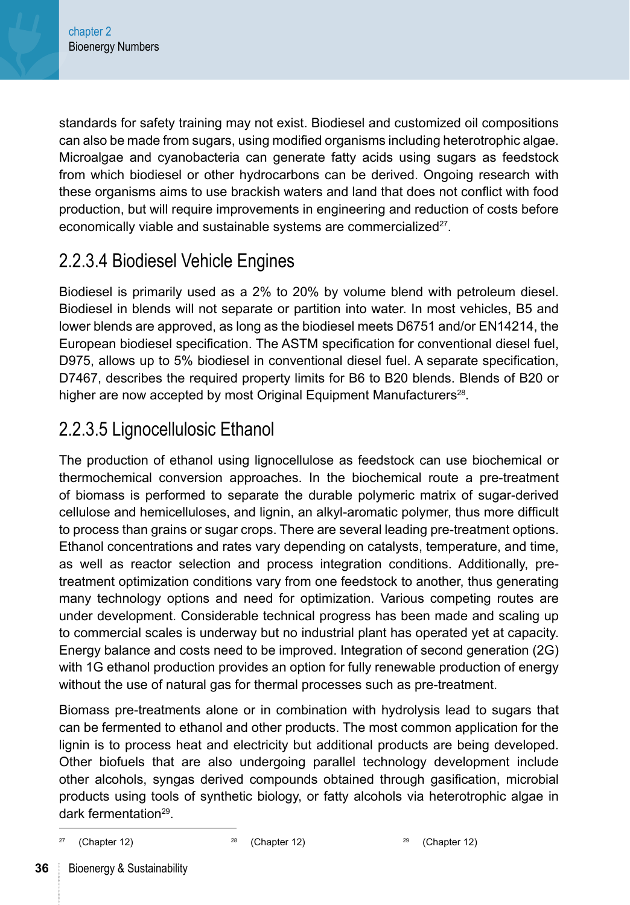standards for safety training may not exist. Biodiesel and customized oil compositions can also be made from sugars, using modified organisms including heterotrophic algae. Microalgae and cyanobacteria can generate fatty acids using sugars as feedstock from which biodiesel or other hydrocarbons can be derived. Ongoing research with these organisms aims to use brackish waters and land that does not conflict with food production, but will require improvements in engineering and reduction of costs before economically viable and sustainable systems are commercialized<sup>27</sup>.

### 2.2.3.4 Biodiesel Vehicle Engines

Biodiesel is primarily used as a 2% to 20% by volume blend with petroleum diesel. Biodiesel in blends will not separate or partition into water. In most vehicles, B5 and lower blends are approved, as long as the biodiesel meets D6751 and/or EN14214, the European biodiesel specification. The ASTM specification for conventional diesel fuel, D975, allows up to 5% biodiesel in conventional diesel fuel. A separate specification, D7467, describes the required property limits for B6 to B20 blends. Blends of B20 or higher are now accepted by most Original Equipment Manufacturers<sup>28</sup>.

### 2.2.3.5 Lignocellulosic Ethanol

The production of ethanol using lignocellulose as feedstock can use biochemical or thermochemical conversion approaches. In the biochemical route a pre-treatment of biomass is performed to separate the durable polymeric matrix of sugar-derived cellulose and hemicelluloses, and lignin, an alkyl-aromatic polymer, thus more difficult to process than grains or sugar crops. There are several leading pre-treatment options. Ethanol concentrations and rates vary depending on catalysts, temperature, and time, as well as reactor selection and process integration conditions. Additionally, pretreatment optimization conditions vary from one feedstock to another, thus generating many technology options and need for optimization. Various competing routes are under development. Considerable technical progress has been made and scaling up to commercial scales is underway but no industrial plant has operated yet at capacity. Energy balance and costs need to be improved. Integration of second generation (2G) with 1G ethanol production provides an option for fully renewable production of energy without the use of natural gas for thermal processes such as pre-treatment.

Biomass pre-treatments alone or in combination with hydrolysis lead to sugars that can be fermented to ethanol and other products. The most common application for the lignin is to process heat and electricity but additional products are being developed. Other biofuels that are also undergoing parallel technology development include other alcohols, syngas derived compounds obtained through gasification, microbial products using tools of synthetic biology, or fatty alcohols via heterotrophic algae in dark fermentation29.

[\(Chapter 12\)](#page--1-0)  $28$  ([Chapter 12\)](#page--1-0)  $29$  ([Chapter 12](#page--1-0))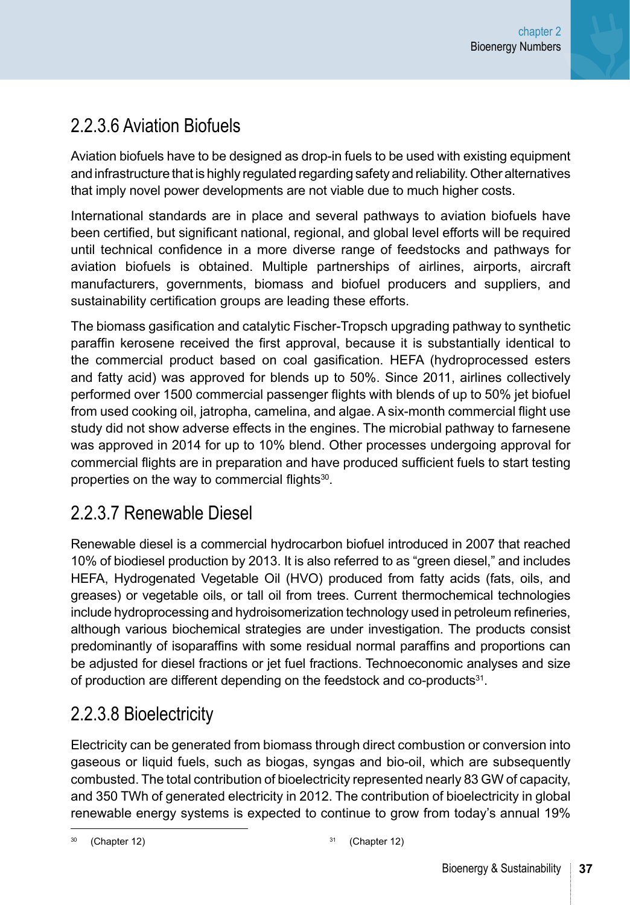### 2.2.3.6 Aviation Biofuels

Aviation biofuels have to be designed as drop-in fuels to be used with existing equipment and infrastructure that is highly regulated regarding safety and reliability. Other alternatives that imply novel power developments are not viable due to much higher costs.

International standards are in place and several pathways to aviation biofuels have been certified, but significant national, regional, and global level efforts will be required until technical confidence in a more diverse range of feedstocks and pathways for aviation biofuels is obtained. Multiple partnerships of airlines, airports, aircraft manufacturers, governments, biomass and biofuel producers and suppliers, and sustainability certification groups are leading these efforts.

The biomass gasification and catalytic Fischer-Tropsch upgrading pathway to synthetic paraffin kerosene received the first approval, because it is substantially identical to the commercial product based on coal gasification. HEFA (hydroprocessed esters and fatty acid) was approved for blends up to 50%. Since 2011, airlines collectively performed over 1500 commercial passenger flights with blends of up to 50% jet biofuel from used cooking oil, jatropha, camelina, and algae. A six-month commercial flight use study did not show adverse effects in the engines. The microbial pathway to farnesene was approved in 2014 for up to 10% blend. Other processes undergoing approval for commercial flights are in preparation and have produced sufficient fuels to start testing properties on the way to commercial flights<sup>30</sup>.

### 2.2.3.7 Renewable Diesel

Renewable diesel is a commercial hydrocarbon biofuel introduced in 2007 that reached 10% of biodiesel production by 2013. It is also referred to as "green diesel," and includes HEFA, Hydrogenated Vegetable Oil (HVO) produced from fatty acids (fats, oils, and greases) or vegetable oils, or tall oil from trees. Current thermochemical technologies include hydroprocessing and hydroisomerization technology used in petroleum refineries, although various biochemical strategies are under investigation. The products consist predominantly of isoparaffins with some residual normal paraffins and proportions can be adjusted for diesel fractions or jet fuel fractions. Technoeconomic analyses and size of production are different depending on the feedstock and co-products<sup>31</sup>.

### 2.2.3.8 Bioelectricity

Electricity can be generated from biomass through direct combustion or conversion into gaseous or liquid fuels, such as biogas, syngas and bio-oil, which are subsequently combusted. The total contribution of bioelectricity represented nearly 83 GW of capacity, and 350 TWh of generated electricity in 2012. The contribution of bioelectricity in global renewable energy systems is expected to continue to grow from today's annual 19%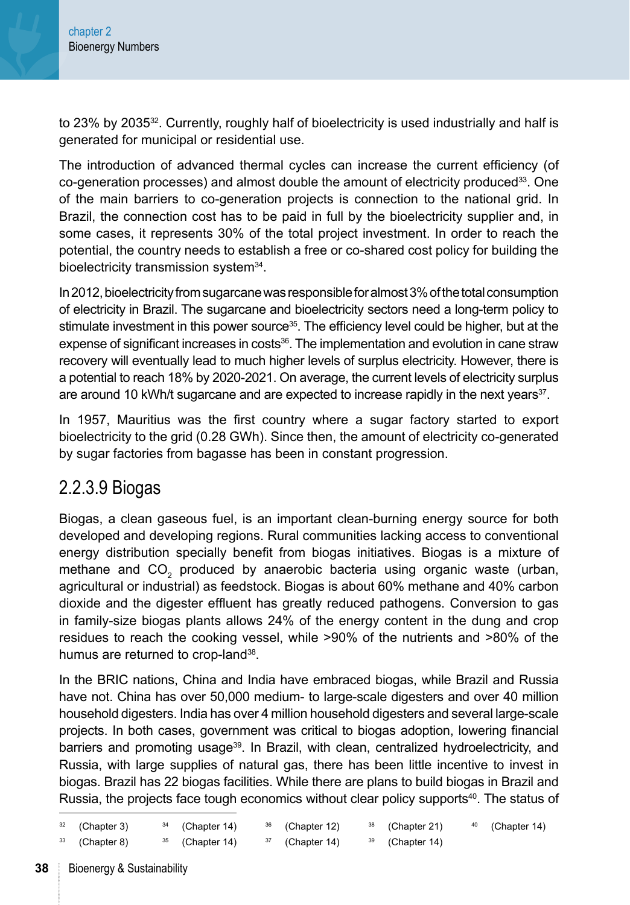to 23% by 2035<sup>32</sup>. Currently, roughly half of bioelectricity is used industrially and half is generated for municipal or residential use.

The introduction of advanced thermal cycles can increase the current efficiency (of  $co-generation processes)$  and almost double the amount of electricity produced $33$ . One of the main barriers to co-generation projects is connection to the national grid. In Brazil, the connection cost has to be paid in full by the bioelectricity supplier and, in some cases, it represents 30% of the total project investment. In order to reach the potential, the country needs to establish a free or co-shared cost policy for building the bioelectricity transmission system<sup>34</sup>.

In 2012, bioelectricity from sugarcane was responsible for almost 3% of the total consumption of electricity in Brazil. The sugarcane and bioelectricity sectors need a long-term policy to stimulate investment in this power source<sup>35</sup>. The efficiency level could be higher, but at the expense of significant increases in costs<sup>36</sup>. The implementation and evolution in cane straw recovery will eventually lead to much higher levels of surplus electricity. However, there is a potential to reach 18% by 2020-2021. On average, the current levels of electricity surplus are around 10 kWh/t sugarcane and are expected to increase rapidly in the next years<sup>37</sup>.

In 1957, Mauritius was the first country where a sugar factory started to export bioelectricity to the grid (0.28 GWh). Since then, the amount of electricity co-generated by sugar factories from bagasse has been in constant progression.

### 2.2.3.9 Biogas

Biogas, a clean gaseous fuel, is an important clean-burning energy source for both developed and developing regions. Rural communities lacking access to conventional energy distribution specially benefit from biogas initiatives. Biogas is a mixture of methane and  $CO_2$  produced by anaerobic bacteria using organic waste (urban, agricultural or industrial) as feedstock. Biogas is about 60% methane and 40% carbon dioxide and the digester effluent has greatly reduced pathogens. Conversion to gas in family-size biogas plants allows 24% of the energy content in the dung and crop residues to reach the cooking vessel, while >90% of the nutrients and >80% of the humus are returned to crop-land<sup>38</sup>.

In the BRIC nations, China and India have embraced biogas, while Brazil and Russia have not. China has over 50,000 medium- to large-scale digesters and over 40 million household digesters. India has over 4 million household digesters and several large-scale projects. In both cases, government was critical to biogas adoption, lowering financial barriers and promoting usage<sup>39</sup>. In Brazil, with clean, centralized hydroelectricity, and Russia, with large supplies of natural gas, there has been little incentive to invest in biogas. Brazil has 22 biogas facilities. While there are plans to build biogas in Brazil and Russia, the projects face tough economics without clear policy supports<sup>40</sup>. The status of

| $32$ (Chapter 3) | $34$ (Chapter 14) | $36$ (Chapter 12) | $38$ (Chapter 21) | $40$ (Chapter 14) |
|------------------|-------------------|-------------------|-------------------|-------------------|
| $33$ (Chapter 8) | $35$ (Chapter 14) | $37$ (Chapter 14) | $39$ (Chapter 14) |                   |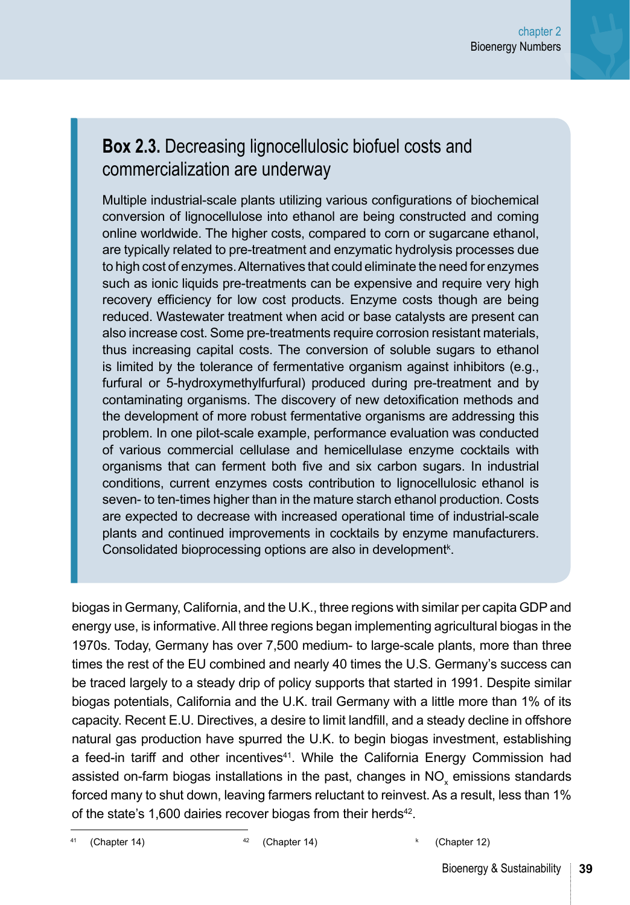#### **Box 2.3.** Decreasing lignocellulosic biofuel costs and commercialization are underway

Multiple industrial-scale plants utilizing various configurations of biochemical conversion of lignocellulose into ethanol are being constructed and coming online worldwide. The higher costs, compared to corn or sugarcane ethanol, are typically related to pre-treatment and enzymatic hydrolysis processes due to high cost of enzymes. Alternatives that could eliminate the need for enzymes such as ionic liquids pre-treatments can be expensive and require very high recovery efficiency for low cost products. Enzyme costs though are being reduced. Wastewater treatment when acid or base catalysts are present can also increase cost. Some pre-treatments require corrosion resistant materials, thus increasing capital costs. The conversion of soluble sugars to ethanol is limited by the tolerance of fermentative organism against inhibitors (e.g., furfural or 5-hydroxymethylfurfural) produced during pre-treatment and by contaminating organisms. The discovery of new detoxification methods and the development of more robust fermentative organisms are addressing this problem. In one pilot-scale example, performance evaluation was conducted of various commercial cellulase and hemicellulase enzyme cocktails with organisms that can ferment both five and six carbon sugars. In industrial conditions, current enzymes costs contribution to lignocellulosic ethanol is seven- to ten-times higher than in the mature starch ethanol production. Costs are expected to decrease with increased operational time of industrial-scale plants and continued improvements in cocktails by enzyme manufacturers. Consolidated bioprocessing options are also in development<sup>k</sup>.

biogas in Germany, California, and the U.K., three regions with similar per capita GDP and energy use, is informative. All three regions began implementing agricultural biogas in the 1970s. Today, Germany has over 7,500 medium- to large-scale plants, more than three times the rest of the EU combined and nearly 40 times the U.S. Germany's success can be traced largely to a steady drip of policy supports that started in 1991. Despite similar biogas potentials, California and the U.K. trail Germany with a little more than 1% of its capacity. Recent E.U. Directives, a desire to limit landfill, and a steady decline in offshore natural gas production have spurred the U.K. to begin biogas investment, establishing a feed-in tariff and other incentives<sup>41</sup>. While the California Energy Commission had assisted on-farm biogas installations in the past, changes in NO<sub>x</sub> emissions standards forced many to shut down, leaving farmers reluctant to reinvest. As a result, less than 1% of the state's 1,600 dairies recover biogas from their herds<sup>42</sup>.

[\(Chapter 14\)](#page--1-0) <sup>42</sup> ([Chapter 14](#page--1-0)) <sup>42</sup> (Chapter 14) <sup>k</sup> ([Chapter 12\)](#page--1-0)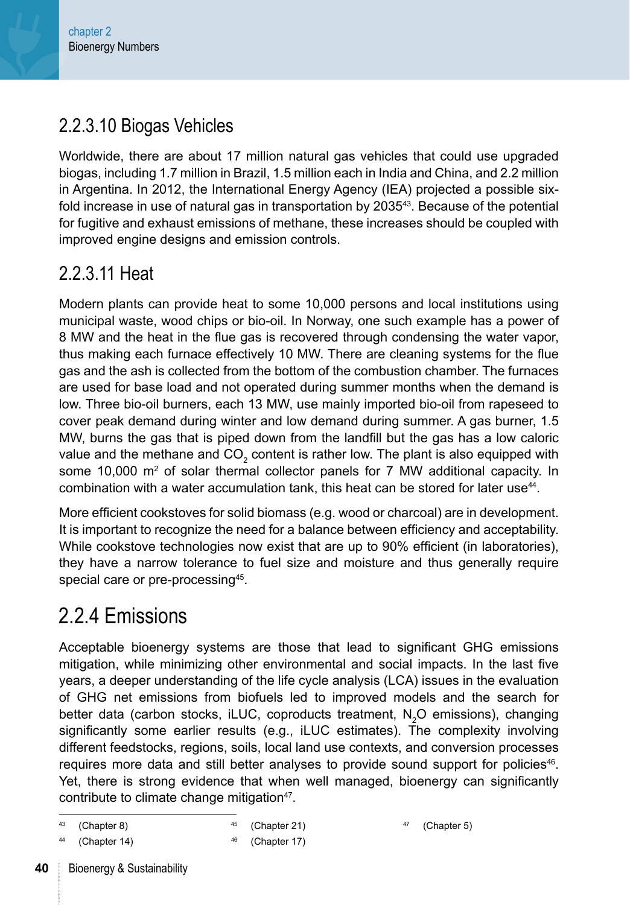### 2.2.3.10 Biogas Vehicles

Worldwide, there are about 17 million natural gas vehicles that could use upgraded biogas, including 1.7 million in Brazil, 1.5 million each in India and China, and 2.2 million in Argentina. In 2012, the International Energy Agency (IEA) projected a possible sixfold increase in use of natural gas in transportation by 203543. Because of the potential for fugitive and exhaust emissions of methane, these increases should be coupled with improved engine designs and emission controls.

### 2.2.3.11 Heat

Modern plants can provide heat to some 10,000 persons and local institutions using municipal waste, wood chips or bio-oil. In Norway, one such example has a power of 8 MW and the heat in the flue gas is recovered through condensing the water vapor, thus making each furnace effectively 10 MW. There are cleaning systems for the flue gas and the ash is collected from the bottom of the combustion chamber. The furnaces are used for base load and not operated during summer months when the demand is low. Three bio-oil burners, each 13 MW, use mainly imported bio-oil from rapeseed to cover peak demand during winter and low demand during summer. A gas burner, 1.5 MW, burns the gas that is piped down from the landfill but the gas has a low caloric value and the methane and CO<sub>2</sub> content is rather low. The plant is also equipped with some 10,000 m<sup>2</sup> of solar thermal collector panels for 7 MW additional capacity. In combination with a water accumulation tank, this heat can be stored for later use44.

More efficient cookstoves for solid biomass (e.g. wood or charcoal) are in development. It is important to recognize the need for a balance between efficiency and acceptability. While cookstove technologies now exist that are up to 90% efficient (in laboratories), they have a narrow tolerance to fuel size and moisture and thus generally require special care or pre-processing<sup>45</sup>.

## 2.2.4 Emissions

Acceptable bioenergy systems are those that lead to significant GHG emissions mitigation, while minimizing other environmental and social impacts. In the last five years, a deeper understanding of the life cycle analysis (LCA) issues in the evaluation of GHG net emissions from biofuels led to improved models and the search for better data (carbon stocks, iLUC, coproducts treatment,  $N_2O$  emissions), changing significantly some earlier results (e.g., iLUC estimates). The complexity involving different feedstocks, regions, soils, local land use contexts, and conversion processes requires more data and still better analyses to provide sound support for policies<sup>46</sup>. Yet, there is strong evidence that when well managed, bioenergy can significantly contribute to climate change mitigation<sup>47</sup>.

```
43 (Chapter 8)
```
<sup>45</sup> [\(Chapter 21\)](#page--1-0)

```
(Chapter 14)
```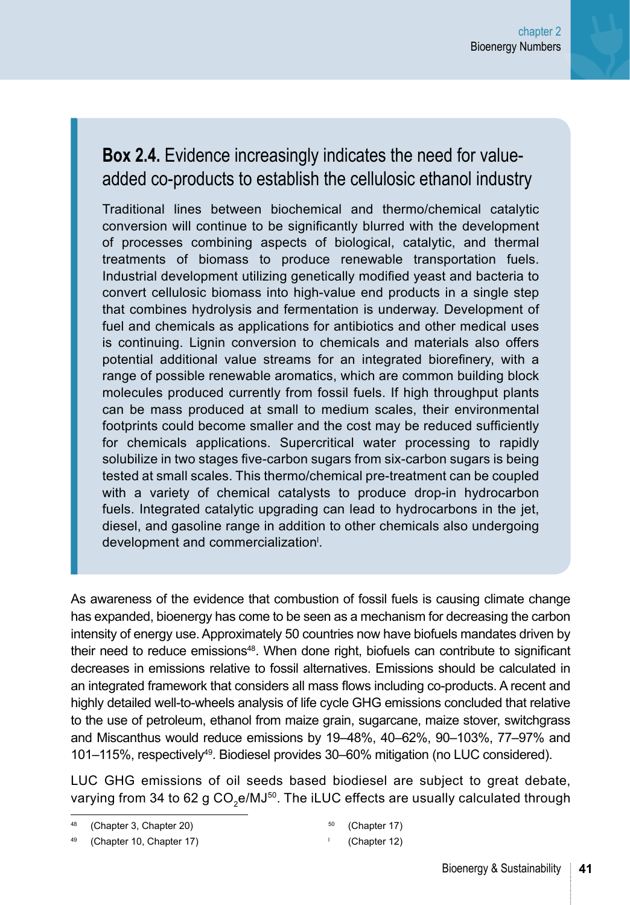### **Box 2.4.** Evidence increasingly indicates the need for valueadded co-products to establish the cellulosic ethanol industry

Traditional lines between biochemical and thermo/chemical catalytic conversion will continue to be significantly blurred with the development of processes combining aspects of biological, catalytic, and thermal treatments of biomass to produce renewable transportation fuels. Industrial development utilizing genetically modified yeast and bacteria to convert cellulosic biomass into high-value end products in a single step that combines hydrolysis and fermentation is underway. Development of fuel and chemicals as applications for antibiotics and other medical uses is continuing. Lignin conversion to chemicals and materials also offers potential additional value streams for an integrated biorefinery, with a range of possible renewable aromatics, which are common building block molecules produced currently from fossil fuels. If high throughput plants can be mass produced at small to medium scales, their environmental footprints could become smaller and the cost may be reduced sufficiently for chemicals applications. Supercritical water processing to rapidly solubilize in two stages five-carbon sugars from six-carbon sugars is being tested at small scales. This thermo/chemical pre-treatment can be coupled with a variety of chemical catalysts to produce drop-in hydrocarbon fuels. Integrated catalytic upgrading can lead to hydrocarbons in the jet, diesel, and gasoline range in addition to other chemicals also undergoing development and commercialization<sup>1</sup>.

As awareness of the evidence that combustion of fossil fuels is causing climate change has expanded, bioenergy has come to be seen as a mechanism for decreasing the carbon intensity of energy use. Approximately 50 countries now have biofuels mandates driven by their need to reduce emissions<sup>48</sup>. When done right, biofuels can contribute to significant decreases in emissions relative to fossil alternatives. Emissions should be calculated in an integrated framework that considers all mass flows including co-products. A recent and highly detailed well-to-wheels analysis of life cycle GHG emissions concluded that relative to the use of petroleum, ethanol from maize grain, sugarcane, maize stover, switchgrass and Miscanthus would reduce emissions by 19–48%, 40–62%, 90–103%, 77–97% and 101–115%, respectively49. Biodiesel provides 30–60% mitigation (no LUC considered).

LUC GHG emissions of oil seeds based biodiesel are subject to great debate, varying from 34 to 62 g  $CO<sub>2</sub>e/MJ<sup>50</sup>$ . The iLUC effects are usually calculated through

<sup>50</sup> [\(Chapter 17\)](#page--1-0)

<sup>(</sup>[Chapter 3](#page--1-0), [Chapter 20\)](#page--1-0)

<sup>(</sup>[Chapter 10](#page--1-0), [Chapter 17\)](#page--1-0)

<sup>l</sup> [\(Chapter 12\)](#page--1-0)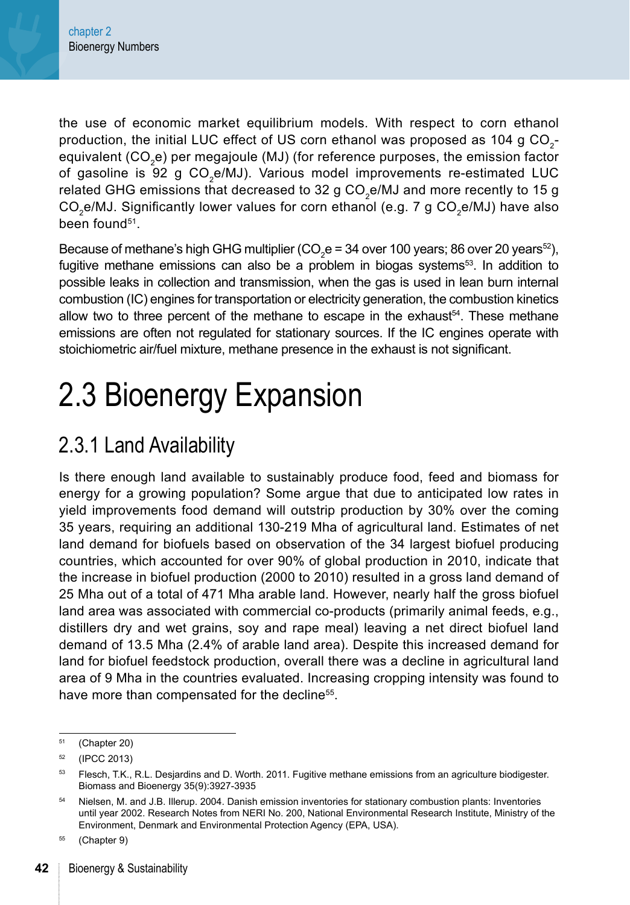the use of economic market equilibrium models. With respect to corn ethanol production, the initial LUC effect of US corn ethanol was proposed as  $104$  q CO<sub>2</sub>equivalent (CO<sub>2</sub>e) per megajoule (MJ) (for reference purposes, the emission factor of gasoline is 92 g CO<sub>2</sub>e/MJ). Various model improvements re-estimated LUC related GHG emissions that decreased to 32 g  $CO<sub>z</sub>e/MJ$  and more recently to 15 g  $CO<sub>2</sub>e/MJ.$  Significantly lower values for corn ethanol (e.g. 7 g  $CO<sub>2</sub>e/MJ$ ) have also been found51.

Because of methane's high GHG multiplier (CO<sub>2</sub>e = 34 over 100 years; 86 over 20 years<sup>52</sup>), fugitive methane emissions can also be a problem in biogas systems $53$ . In addition to possible leaks in collection and transmission, when the gas is used in lean burn internal combustion (IC) engines for transportation or electricity generation, the combustion kinetics allow two to three percent of the methane to escape in the exhaust<sup>54</sup>. These methane emissions are often not regulated for stationary sources. If the IC engines operate with stoichiometric air/fuel mixture, methane presence in the exhaust is not significant.

## 2.3 Bioenergy Expansion

## 2.3.1 Land Availability

Is there enough land available to sustainably produce food, feed and biomass for energy for a growing population? Some argue that due to anticipated low rates in yield improvements food demand will outstrip production by 30% over the coming 35 years, requiring an additional 130-219 Mha of agricultural land. Estimates of net land demand for biofuels based on observation of the 34 largest biofuel producing countries, which accounted for over 90% of global production in 2010, indicate that the increase in biofuel production (2000 to 2010) resulted in a gross land demand of 25 Mha out of a total of 471 Mha arable land. However, nearly half the gross biofuel land area was associated with commercial co-products (primarily animal feeds, e.g., distillers dry and wet grains, soy and rape meal) leaving a net direct biofuel land demand of 13.5 Mha (2.4% of arable land area). Despite this increased demand for land for biofuel feedstock production, overall there was a decline in agricultural land area of 9 Mha in the countries evaluated. Increasing cropping intensity was found to have more than compensated for the decline<sup>55</sup>.

<sup>51</sup> [\(Chapter 20\)](#page--1-0)

<sup>52</sup> (IPCC 2013)

<sup>&</sup>lt;sup>53</sup> Flesch, T.K., R.L. Desjardins and D. Worth. 2011. Fugitive methane emissions from an agriculture biodigester. Biomass and Bioenergy 35(9):3927-3935

<sup>54</sup> Nielsen, M. and J.B. Illerup. 2004. Danish emission inventories for stationary combustion plants: Inventories until year 2002. Research Notes from NERI No. 200, National Environmental Research Institute, Ministry of the Environment, Denmark and Environmental Protection Agency (EPA, USA).

<sup>55</sup> [\(Chapter 9\)](#page--1-0)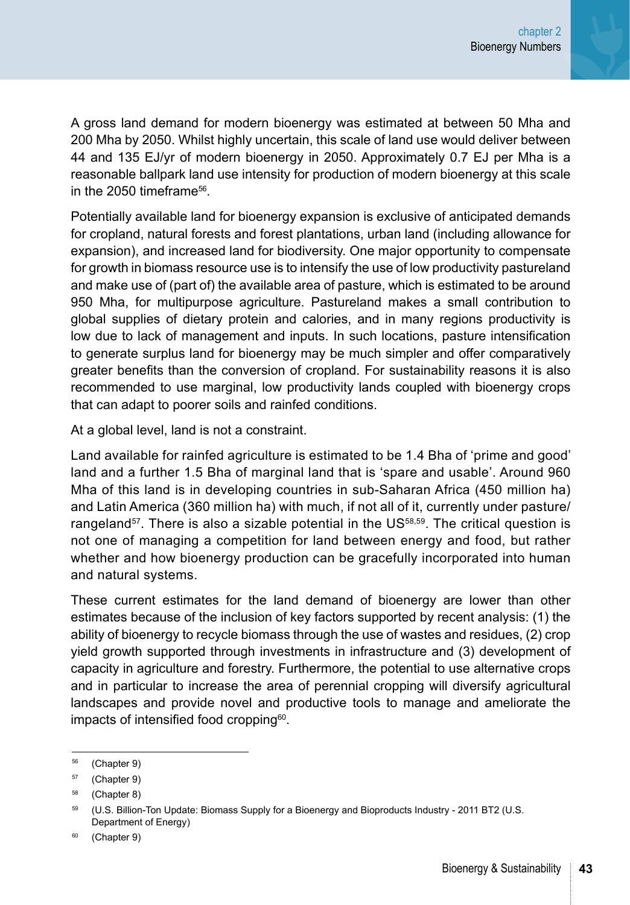A gross land demand for modern bioenergy was estimated at between 50 Mha and 200 Mha by 2050. Whilst highly uncertain, this scale of land use would deliver between 44 and 135 EJ/yr of modern bioenergy in 2050. Approximately 0.7 EJ per Mha is a reasonable ballpark land use intensity for production of modern bioenergy at this scale in the  $2050$  timeframe<sup>56</sup>

Potentially available land for bioenergy expansion is exclusive of anticipated demands for cropland, natural forests and forest plantations, urban land (including allowance for expansion), and increased land for biodiversity. One major opportunity to compensate for growth in biomass resource use is to intensify the use of low productivity pastureland and make use of (part of) the available area of pasture, which is estimated to be around 950 Mha, for multipurpose agriculture. Pastureland makes a small contribution to global supplies of dietary protein and calories, and in many regions productivity is low due to lack of management and inputs. In such locations, pasture intensification to generate surplus land for bioenergy may be much simpler and offer comparatively greater benefits than the conversion of cropland. For sustainability reasons it is also recommended to use marginal, low productivity lands coupled with bioenergy crops that can adapt to poorer soils and rainfed conditions.

At a global level, land is not a constraint.

Land available for rainfed agriculture is estimated to be 1.4 Bha of 'prime and good' land and a further 1.5 Bha of marginal land that is 'spare and usable'. Around 960 Mha of this land is in developing countries in sub-Saharan Africa (450 million ha) and Latin America (360 million ha) with much, if not all of it, currently under pasture/ rangeland<sup>57</sup>. There is also a sizable potential in the US<sup>58,59</sup>. The critical question is not one of managing a competition for land between energy and food, but rather whether and how bioenergy production can be gracefully incorporated into human and natural systems.

These current estimates for the land demand of bioenergy are lower than other estimates because of the inclusion of key factors supported by recent analysis: (1) the ability of bioenergy to recycle biomass through the use of wastes and residues, (2) crop yield growth supported through investments in infrastructure and (3) development of capacity in agriculture and forestry. Furthermore, the potential to use alternative crops and in particular to increase the area of perennial cropping will diversify agricultural landscapes and provide novel and productive tools to manage and ameliorate the impacts of intensified food cropping<sup>60</sup>.

<sup>56</sup> [\(Chapter 9](#page--1-0))

<sup>57</sup> [\(Chapter 9](#page--1-0))

<sup>58</sup> [\(Chapter 8](#page--1-0))

<sup>59 (</sup>U.S. Billion-Ton Update: Biomass Supply for a Bioenergy and Bioproducts Industry - 2011 BT2 (U.S. Department of Energy)

<sup>60</sup> [\(Chapter 9](#page--1-0))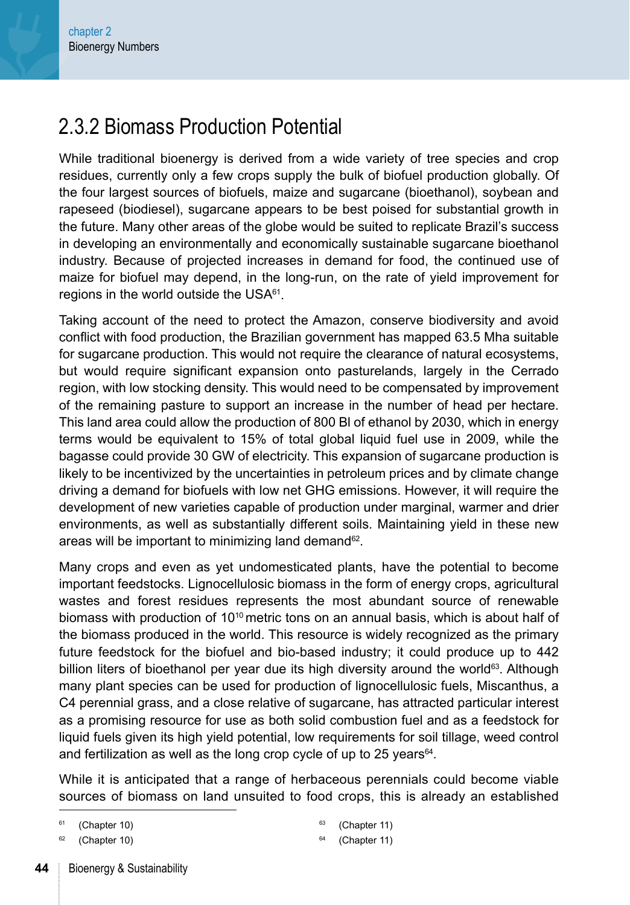## 2.3.2 Biomass Production Potential

While traditional bioenergy is derived from a wide variety of tree species and crop residues, currently only a few crops supply the bulk of biofuel production globally. Of the four largest sources of biofuels, maize and sugarcane (bioethanol), soybean and rapeseed (biodiesel), sugarcane appears to be best poised for substantial growth in the future. Many other areas of the globe would be suited to replicate Brazil's success in developing an environmentally and economically sustainable sugarcane bioethanol industry. Because of projected increases in demand for food, the continued use of maize for biofuel may depend, in the long-run, on the rate of yield improvement for regions in the world outside the USA<sup>61</sup>.

Taking account of the need to protect the Amazon, conserve biodiversity and avoid conflict with food production, the Brazilian government has mapped 63.5 Mha suitable for sugarcane production. This would not require the clearance of natural ecosystems, but would require significant expansion onto pasturelands, largely in the Cerrado region, with low stocking density. This would need to be compensated by improvement of the remaining pasture to support an increase in the number of head per hectare. This land area could allow the production of 800 Bl of ethanol by 2030, which in energy terms would be equivalent to 15% of total global liquid fuel use in 2009, while the bagasse could provide 30 GW of electricity. This expansion of sugarcane production is likely to be incentivized by the uncertainties in petroleum prices and by climate change driving a demand for biofuels with low net GHG emissions. However, it will require the development of new varieties capable of production under marginal, warmer and drier environments, as well as substantially different soils. Maintaining yield in these new areas will be important to minimizing land demand<sup>62</sup>.

Many crops and even as yet undomesticated plants, have the potential to become important feedstocks. Lignocellulosic biomass in the form of energy crops, agricultural wastes and forest residues represents the most abundant source of renewable biomass with production of  $10^{10}$  metric tons on an annual basis, which is about half of the biomass produced in the world. This resource is widely recognized as the primary future feedstock for the biofuel and bio-based industry; it could produce up to 442 billion liters of bioethanol per year due its high diversity around the world<sup>63</sup>. Although many plant species can be used for production of lignocellulosic fuels, Miscanthus, a C4 perennial grass, and a close relative of sugarcane, has attracted particular interest as a promising resource for use as both solid combustion fuel and as a feedstock for liquid fuels given its high yield potential, low requirements for soil tillage, weed control and fertilization as well as the long crop cycle of up to 25 years $64$ .

While it is anticipated that a range of herbaceous perennials could become viable sources of biomass on land unsuited to food crops, this is already an established

- $63$  [\(Chapter 11\)](#page--1-0)
- $64$  [\(Chapter 11\)](#page--1-0)

 $61$  [\(Chapter 10\)](#page--1-0)

[<sup>\(</sup>Chapter 10\)](#page--1-0)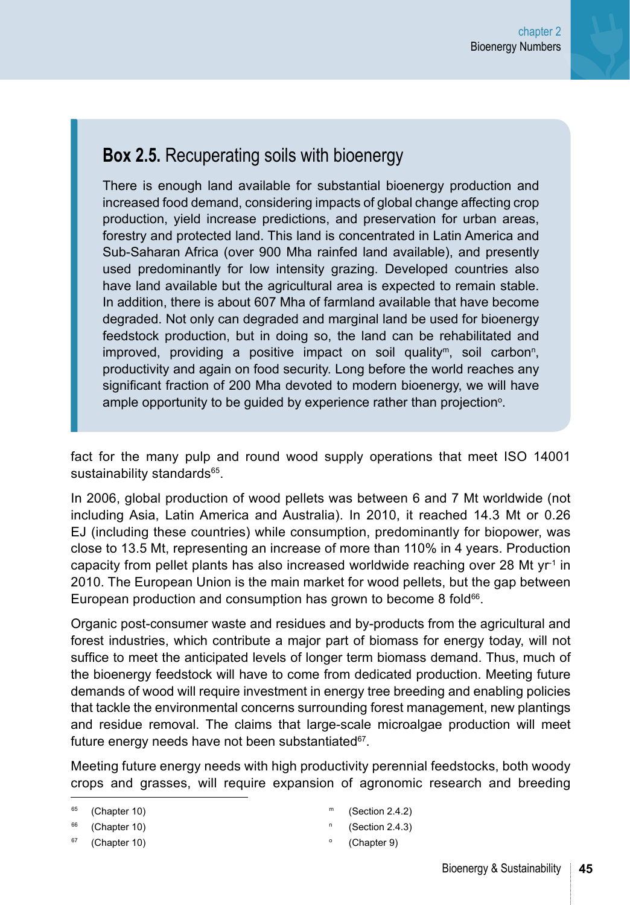#### **Box 2.5.** Recuperating soils with bioenergy

There is enough land available for substantial bioenergy production and increased food demand, considering impacts of global change affecting crop production, yield increase predictions, and preservation for urban areas, forestry and protected land. This land is concentrated in Latin America and Sub-Saharan Africa (over 900 Mha rainfed land available), and presently used predominantly for low intensity grazing. Developed countries also have land available but the agricultural area is expected to remain stable. In addition, there is about 607 Mha of farmland available that have become degraded. Not only can degraded and marginal land be used for bioenergy feedstock production, but in doing so, the land can be rehabilitated and improved, providing a positive impact on soil quality<sup>m</sup>, soil carbon<sup>n</sup>, productivity and again on food security. Long before the world reaches any significant fraction of 200 Mha devoted to modern bioenergy, we will have ample opportunity to be guided by experience rather than projection<sup>o</sup>.

fact for the many pulp and round wood supply operations that meet ISO 14001 sustainability standards<sup>65</sup>.

In 2006, global production of wood pellets was between 6 and 7 Mt worldwide (not including Asia, Latin America and Australia). In 2010, it reached 14.3 Mt or 0.26 EJ (including these countries) while consumption, predominantly for biopower, was close to 13.5 Mt, representing an increase of more than 110% in 4 years. Production capacity from pellet plants has also increased worldwide reaching over 28 Mt  $yr<sup>-1</sup>$  in 2010. The European Union is the main market for wood pellets, but the gap between European production and consumption has grown to become 8 fold<sup>66</sup>.

Organic post-consumer waste and residues and by-products from the agricultural and forest industries, which contribute a major part of biomass for energy today, will not suffice to meet the anticipated levels of longer term biomass demand. Thus, much of the bioenergy feedstock will have to come from dedicated production. Meeting future demands of wood will require investment in energy tree breeding and enabling policies that tackle the environmental concerns surrounding forest management, new plantings and residue removal. The claims that large-scale microalgae production will meet future energy needs have not been substantiated $67$ .

Meeting future energy needs with high productivity perennial feedstocks, both woody crops and grasses, will require expansion of agronomic research and breeding

- $(Section 2.4.2)$  $(Section 2.4.2)$  $(Section 2.4.2)$
- <sup>n</sup> ([Section 2.4.3](#page-25-0))
- ([Chapter 9](#page--1-0))

 $65$  [\(Chapter 10\)](#page--1-0)

<sup>&</sup>lt;sup>66</sup> [\(Chapter 10\)](#page--1-0)

 $67$  [\(Chapter 10\)](#page--1-0)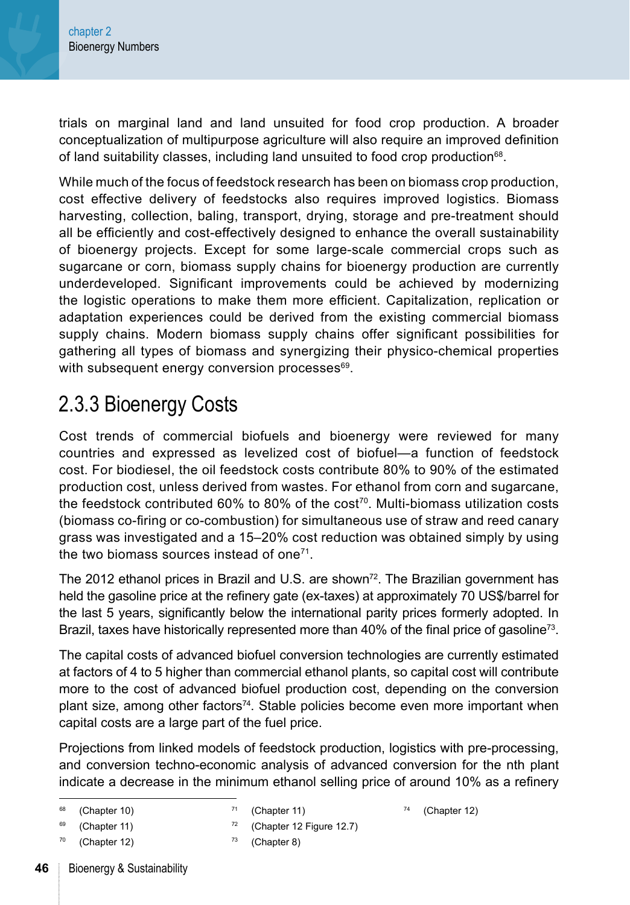trials on marginal land and land unsuited for food crop production. A broader conceptualization of multipurpose agriculture will also require an improved definition of land suitability classes, including land unsuited to food crop production68.

While much of the focus of feedstock research has been on biomass crop production, cost effective delivery of feedstocks also requires improved logistics. Biomass harvesting, collection, baling, transport, drying, storage and pre-treatment should all be efficiently and cost-effectively designed to enhance the overall sustainability of bioenergy projects. Except for some large-scale commercial crops such as sugarcane or corn, biomass supply chains for bioenergy production are currently underdeveloped. Significant improvements could be achieved by modernizing the logistic operations to make them more efficient. Capitalization, replication or adaptation experiences could be derived from the existing commercial biomass supply chains. Modern biomass supply chains offer significant possibilities for gathering all types of biomass and synergizing their physico-chemical properties with subsequent energy conversion processes<sup>69</sup>.

## 2.3.3 Bioenergy Costs

Cost trends of commercial biofuels and bioenergy were reviewed for many countries and expressed as levelized cost of biofuel—a function of feedstock cost. For biodiesel, the oil feedstock costs contribute 80% to 90% of the estimated production cost, unless derived from wastes. For ethanol from corn and sugarcane, the feedstock contributed 60% to 80% of the cost70. Multi-biomass utilization costs (biomass co-firing or co-combustion) for simultaneous use of straw and reed canary grass was investigated and a 15–20% cost reduction was obtained simply by using the two biomass sources instead of one $71$ .

The 2012 ethanol prices in Brazil and U.S. are shown<sup>72</sup>. The Brazilian government has held the gasoline price at the refinery gate (ex-taxes) at approximately 70 US\$/barrel for the last 5 years, significantly below the international parity prices formerly adopted. In Brazil, taxes have historically represented more than 40% of the final price of gasoline<sup>73</sup>.

The capital costs of advanced biofuel conversion technologies are currently estimated at factors of 4 to 5 higher than commercial ethanol plants, so capital cost will contribute more to the cost of advanced biofuel production cost, depending on the conversion plant size, among other factors74. Stable policies become even more important when capital costs are a large part of the fuel price.

Projections from linked models of feedstock production, logistics with pre-processing, and conversion techno-economic analysis of advanced conversion for the nth plant indicate a decrease in the minimum ethanol selling price of around 10% as a refinery

```
71(Chapter 11)
```
<sup>72</sup> [\(Chapter 12 Figure 12.7](#page--1-0))

```
(Chapter 12)
```
 $69$  [\(Chapter 11](#page--1-0))

 $68$  [\(Chapter 10](#page--1-0))

 $70$  [\(Chapter 12](#page--1-0))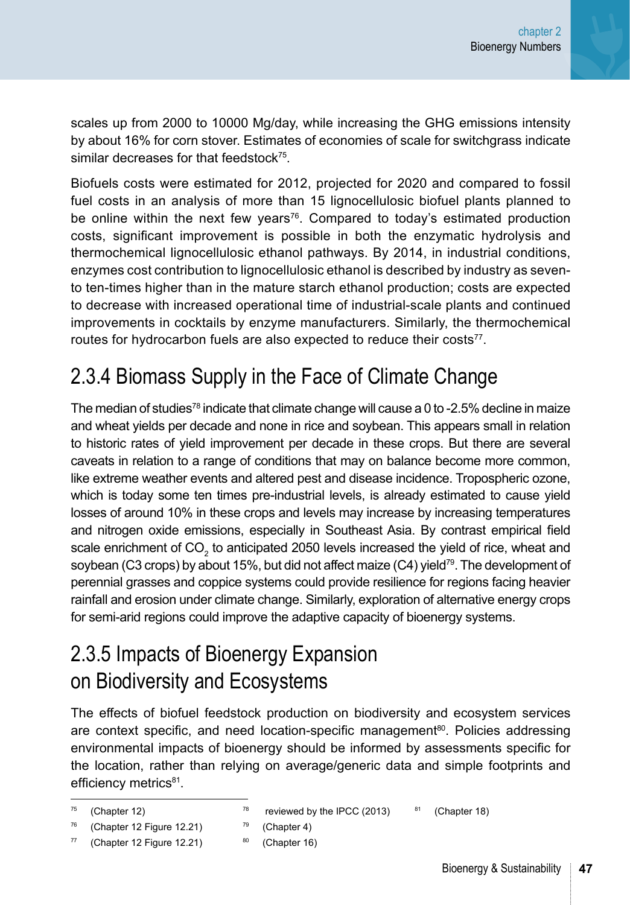scales up from 2000 to 10000 Mg/day, while increasing the GHG emissions intensity by about 16% for corn stover. Estimates of economies of scale for switchgrass indicate similar decreases for that feedstock<sup>75</sup>.

Biofuels costs were estimated for 2012, projected for 2020 and compared to fossil fuel costs in an analysis of more than 15 lignocellulosic biofuel plants planned to be online within the next few years<sup>76</sup>. Compared to today's estimated production costs, significant improvement is possible in both the enzymatic hydrolysis and thermochemical lignocellulosic ethanol pathways. By 2014, in industrial conditions, enzymes cost contribution to lignocellulosic ethanol is described by industry as sevento ten-times higher than in the mature starch ethanol production; costs are expected to decrease with increased operational time of industrial-scale plants and continued improvements in cocktails by enzyme manufacturers. Similarly, the thermochemical routes for hydrocarbon fuels are also expected to reduce their costs<sup>77</sup>.

## 2.3.4 Biomass Supply in the Face of Climate Change

The median of studies<sup>78</sup> indicate that climate change will cause a 0 to -2.5% decline in maize and wheat yields per decade and none in rice and soybean. This appears small in relation to historic rates of yield improvement per decade in these crops. But there are several caveats in relation to a range of conditions that may on balance become more common, like extreme weather events and altered pest and disease incidence. Tropospheric ozone, which is today some ten times pre-industrial levels, is already estimated to cause yield losses of around 10% in these crops and levels may increase by increasing temperatures and nitrogen oxide emissions, especially in Southeast Asia. By contrast empirical field scale enrichment of CO<sub>2</sub> to anticipated 2050 levels increased the yield of rice, wheat and soybean (C3 crops) by about 15%, but did not affect maize (C4) yield<sup>79</sup>. The development of perennial grasses and coppice systems could provide resilience for regions facing heavier rainfall and erosion under climate change. Similarly, exploration of alternative energy crops for semi-arid regions could improve the adaptive capacity of bioenergy systems.

## 2.3.5 Impacts of Bioenergy Expansion on Biodiversity and Ecosystems

The effects of biofuel feedstock production on biodiversity and ecosystem services are context specific, and need location-specific management<sup>80</sup>. Policies addressing environmental impacts of bioenergy should be informed by assessments specific for the location, rather than relying on average/generic data and simple footprints and efficiency metrics<sup>81</sup>.

```
78 reviewed by the IPCC (2013)
79 (Chapter 4)
                                  81(Chapter 18)
```
<sup>80</sup> [\(Chapter 16](#page--1-0))

 $75$  ([Chapter 12](#page--1-0))

<sup>76</sup> ([Chapter 12 Figure 12.21](#page--1-0))  $77$  ([Chapter 12 Figure 12.21](#page--1-0))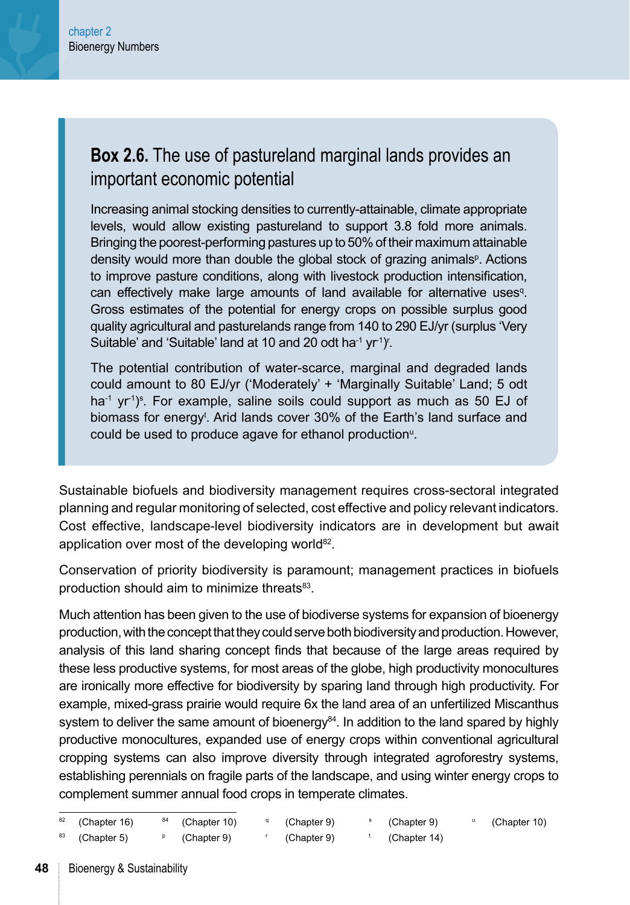#### **Box 2.6.** The use of pastureland marginal lands provides an important economic potential

Increasing animal stocking densities to currently-attainable, climate appropriate levels, would allow existing pastureland to support 3.8 fold more animals. Bringing the poorest-performing pastures up to 50% of their maximum attainable density would more than double the global stock of grazing animals<sup>p</sup>. Actions to improve pasture conditions, along with livestock production intensification, can effectively make large amounts of land available for alternative uses<sup>q</sup>. Gross estimates of the potential for energy crops on possible surplus good quality agricultural and pasturelands range from 140 to 290 EJ/yr (surplus 'Very Suitable' and 'Suitable' land at 10 and 20 odt ha<sup>-1</sup> yr<sup>-1</sup>)'.

The potential contribution of water-scarce, marginal and degraded lands could amount to 80 EJ/yr ('Moderately' + 'Marginally Suitable' Land; 5 odt ha<sup>-1</sup> yr<sup>-1</sup>)<sup>s</sup>. For example, saline soils could support as much as 50 EJ of biomass for energy<sup>t</sup>. Arid lands cover 30% of the Earth's land surface and could be used to produce agave for ethanol production<sup>®</sup>.

Sustainable biofuels and biodiversity management requires cross-sectoral integrated planning and regular monitoring of selected, cost effective and policy relevant indicators. Cost effective, landscape-level biodiversity indicators are in development but await application over most of the developing world<sup>82</sup>.

Conservation of priority biodiversity is paramount; management practices in biofuels production should aim to minimize threats<sup>83</sup>.

Much attention has been given to the use of biodiverse systems for expansion of bioenergy production, with the concept that they could serve both biodiversity and production. However, analysis of this land sharing concept finds that because of the large areas required by these less productive systems, for most areas of the globe, high productivity monocultures are ironically more effective for biodiversity by sparing land through high productivity. For example, mixed-grass prairie would require 6x the land area of an unfertilized Miscanthus system to deliver the same amount of bioenergy $84$ . In addition to the land spared by highly productive monocultures, expanded use of energy crops within conventional agricultural cropping systems can also improve diversity through integrated agroforestry systems, establishing perennials on fragile parts of the landscape, and using winter energy crops to complement summer annual food crops in temperate climates.

| $82$ (Chapter 16)         | $84$ (Chapter 10) | (Chapter 9) | (Chapter 9)  | (Chapter 10) |
|---------------------------|-------------------|-------------|--------------|--------------|
| <sup>83</sup> (Chapter 5) | (Chapter 9)       | (Chapter 9) | (Chapter 14) |              |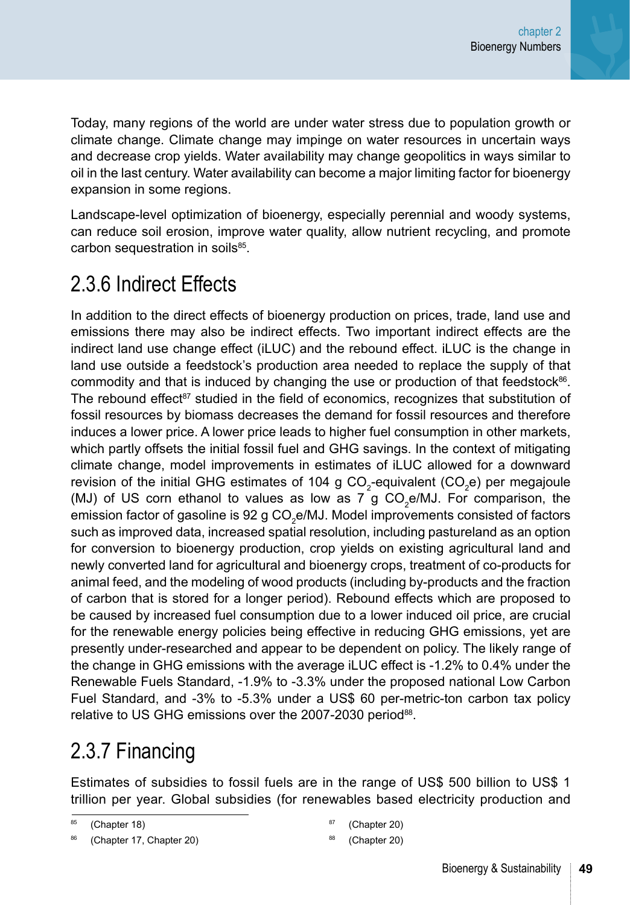Today, many regions of the world are under water stress due to population growth or climate change. Climate change may impinge on water resources in uncertain ways and decrease crop yields. Water availability may change geopolitics in ways similar to oil in the last century. Water availability can become a major limiting factor for bioenergy expansion in some regions.

Landscape-level optimization of bioenergy, especially perennial and woody systems, can reduce soil erosion, improve water quality, allow nutrient recycling, and promote carbon sequestration in soils<sup>85</sup>.

## 2.3.6 Indirect Effects

In addition to the direct effects of bioenergy production on prices, trade, land use and emissions there may also be indirect effects. Two important indirect effects are the indirect land use change effect (iLUC) and the rebound effect. iLUC is the change in land use outside a feedstock's production area needed to replace the supply of that commodity and that is induced by changing the use or production of that feedstock $86$ . The rebound effect<sup>87</sup> studied in the field of economics, recognizes that substitution of fossil resources by biomass decreases the demand for fossil resources and therefore induces a lower price. A lower price leads to higher fuel consumption in other markets, which partly offsets the initial fossil fuel and GHG savings. In the context of mitigating climate change, model improvements in estimates of iLUC allowed for a downward revision of the initial GHG estimates of 104 g CO<sub>2</sub>-equivalent (CO<sub>2</sub>e) per megajoule (MJ) of US corn ethanol to values as low as 7 g  $CO<sub>2</sub>$ e/MJ. For comparison, the emission factor of gasoline is 92 g CO<sub>2</sub>e/MJ. Model improvements consisted of factors such as improved data, increased spatial resolution, including pastureland as an option for conversion to bioenergy production, crop yields on existing agricultural land and newly converted land for agricultural and bioenergy crops, treatment of co-products for animal feed, and the modeling of wood products (including by-products and the fraction of carbon that is stored for a longer period). Rebound effects which are proposed to be caused by increased fuel consumption due to a lower induced oil price, are crucial for the renewable energy policies being effective in reducing GHG emissions, yet are presently under-researched and appear to be dependent on policy. The likely range of the change in GHG emissions with the average iLUC effect is -1.2% to 0.4% under the Renewable Fuels Standard, -1.9% to -3.3% under the proposed national Low Carbon Fuel Standard, and -3% to -5.3% under a US\$ 60 per-metric-ton carbon tax policy relative to US GHG emissions over the 2007-2030 period<sup>88</sup>.

## 2.3.7 Financing

Estimates of subsidies to fossil fuels are in the range of US\$ 500 billion to US\$ 1 trillion per year. Global subsidies (for renewables based electricity production and

([Chapter 20](#page--1-0))

([Chapter 20](#page--1-0))

<sup>85 (</sup>[Chapter 18](#page--1-0))

<sup>(</sup>[Chapter 17](#page--1-0), [Chapter 20\)](#page--1-0)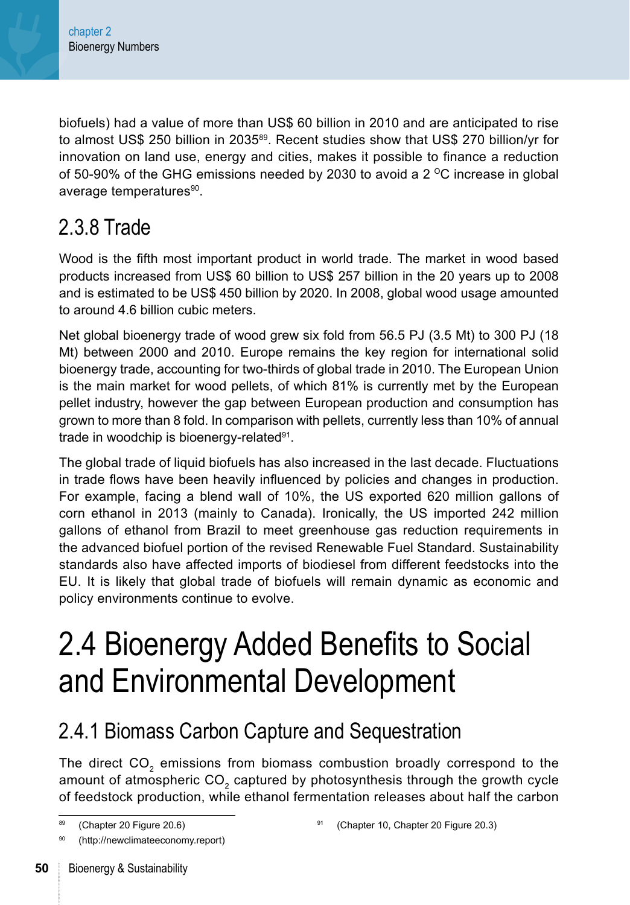biofuels) had a value of more than US\$ 60 billion in 2010 and are anticipated to rise to almost US\$ 250 billion in 2035<sup>89</sup>. Recent studies show that US\$ 270 billion/yr for innovation on land use, energy and cities, makes it possible to finance a reduction of 50-90% of the GHG emissions needed by 2030 to avoid a 2  $\degree$ C increase in global average temperatures<sup>90</sup>.

## 2.3.8 Trade

Wood is the fifth most important product in world trade. The market in wood based products increased from US\$ 60 billion to US\$ 257 billion in the 20 years up to 2008 and is estimated to be US\$ 450 billion by 2020. In 2008, global wood usage amounted to around 4.6 billion cubic meters.

Net global bioenergy trade of wood grew six fold from 56.5 PJ (3.5 Mt) to 300 PJ (18 Mt) between 2000 and 2010. Europe remains the key region for international solid bioenergy trade, accounting for two-thirds of global trade in 2010. The European Union is the main market for wood pellets, of which 81% is currently met by the European pellet industry, however the gap between European production and consumption has grown to more than 8 fold. In comparison with pellets, currently less than 10% of annual trade in woodchip is bioenergy-related<sup>91</sup>.

The global trade of liquid biofuels has also increased in the last decade. Fluctuations in trade flows have been heavily influenced by policies and changes in production. For example, facing a blend wall of 10%, the US exported 620 million gallons of corn ethanol in 2013 (mainly to Canada). Ironically, the US imported 242 million gallons of ethanol from Brazil to meet greenhouse gas reduction requirements in the advanced biofuel portion of the revised Renewable Fuel Standard. Sustainability standards also have affected imports of biodiesel from different feedstocks into the EU. It is likely that global trade of biofuels will remain dynamic as economic and policy environments continue to evolve.

## 2.4 Bioenergy Added Benefits to Social and Environmental Development

## 2.4.1 Biomass Carbon Capture and Sequestration

The direct CO<sub>2</sub> emissions from biomass combustion broadly correspond to the amount of atmospheric CO<sub>2</sub> captured by photosynthesis through the growth cycle of feedstock production, while ethanol fermentation releases about half the carbon

<sup>89</sup> [\(Chapter 20 Figure 20.6](#page--1-0))

<sup>(</sup>http://newclimateeconomy.report)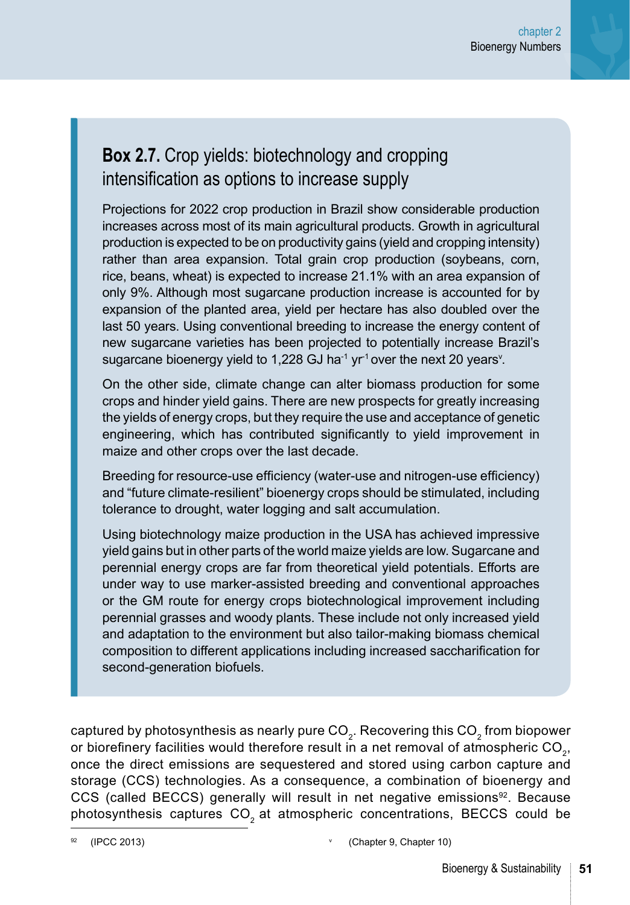### **Box 2.7.** Crop yields: biotechnology and cropping intensification as options to increase supply

Projections for 2022 crop production in Brazil show considerable production increases across most of its main agricultural products. Growth in agricultural production is expected to be on productivity gains (yield and cropping intensity) rather than area expansion. Total grain crop production (soybeans, corn, rice, beans, wheat) is expected to increase 21.1% with an area expansion of only 9%. Although most sugarcane production increase is accounted for by expansion of the planted area, yield per hectare has also doubled over the last 50 years. Using conventional breeding to increase the energy content of new sugarcane varieties has been projected to potentially increase Brazil's sugarcane bioenergy yield to 1,228 GJ ha $\text{-}1$  yr $\text{-}1$  over the next 20 years $\text{\textvee\textsc{}}$ .

On the other side, climate change can alter biomass production for some crops and hinder yield gains. There are new prospects for greatly increasing the yields of energy crops, but they require the use and acceptance of genetic engineering, which has contributed significantly to yield improvement in maize and other crops over the last decade.

Breeding for resource-use efficiency (water-use and nitrogen-use efficiency) and "future climate-resilient" bioenergy crops should be stimulated, including tolerance to drought, water logging and salt accumulation.

Using biotechnology maize production in the USA has achieved impressive yield gains but in other parts of the world maize yields are low. Sugarcane and perennial energy crops are far from theoretical yield potentials. Efforts are under way to use marker-assisted breeding and conventional approaches or the GM route for energy crops biotechnological improvement including perennial grasses and woody plants. These include not only increased yield and adaptation to the environment but also tailor-making biomass chemical composition to different applications including increased saccharification for second-generation biofuels.

captured by photosynthesis as nearly pure CO<sub>2</sub>. Recovering this CO<sub>2</sub> from biopower or biorefinery facilities would therefore result in a net removal of atmospheric  $CO<sub>2</sub>$ , once the direct emissions are sequestered and stored using carbon capture and storage (CCS) technologies. As a consequence, a combination of bioenergy and CCS (called BECCS) generally will result in net negative emissions<sup>92</sup>. Because photosynthesis captures  $CO<sub>2</sub>$  at atmospheric concentrations, BECCS could be

<sup>92</sup> (IPCC 2013) <sup>v</sup> ([Chapter 9, Chapter 10\)](#page--1-0)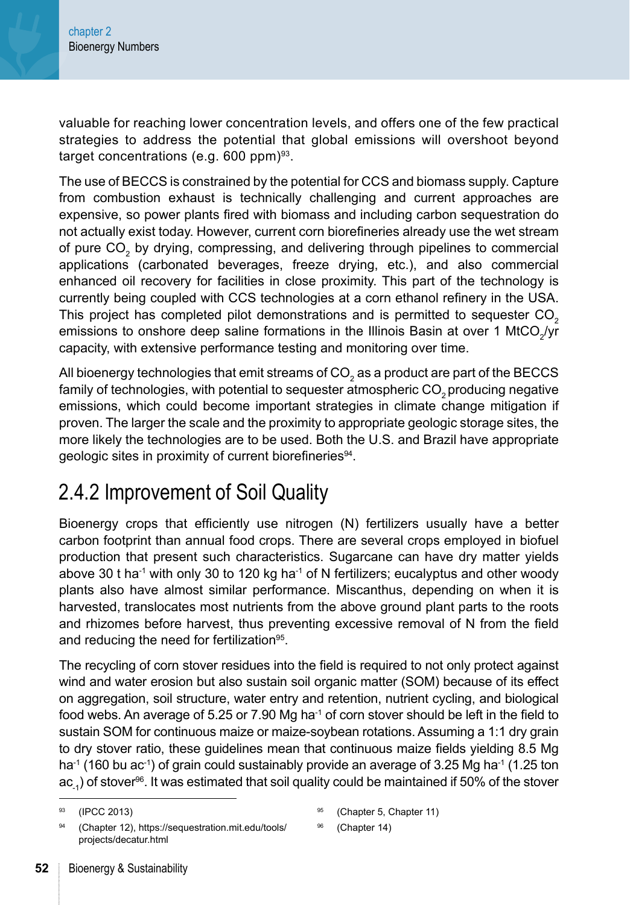<span id="page-24-0"></span>valuable for reaching lower concentration levels, and offers one of the few practical strategies to address the potential that global emissions will overshoot beyond target concentrations (e.g. 600 ppm) $93$ .

The use of BECCS is constrained by the potential for CCS and biomass supply. Capture from combustion exhaust is technically challenging and current approaches are expensive, so power plants fired with biomass and including carbon sequestration do not actually exist today. However, current corn biorefineries already use the wet stream of pure  $\text{CO}_2$  by drying, compressing, and delivering through pipelines to commercial applications (carbonated beverages, freeze drying, etc.), and also commercial enhanced oil recovery for facilities in close proximity. This part of the technology is currently being coupled with CCS technologies at a corn ethanol refinery in the USA. This project has completed pilot demonstrations and is permitted to sequester CO<sub>2</sub> emissions to onshore deep saline formations in the Illinois Basin at over 1 MtCO<sub>2</sub>/yr capacity, with extensive performance testing and monitoring over time.

All bioenergy technologies that emit streams of CO $_{\rm 2}$  as a product are part of the BECCS family of technologies, with potential to sequester atmospheric CO<sub>2</sub> producing negative emissions, which could become important strategies in climate change mitigation if proven. The larger the scale and the proximity to appropriate geologic storage sites, the more likely the technologies are to be used. Both the U.S. and Brazil have appropriate geologic sites in proximity of current biorefineries<sup>94</sup>.

## 2.4.2 Improvement of Soil Quality

Bioenergy crops that efficiently use nitrogen (N) fertilizers usually have a better carbon footprint than annual food crops. There are several crops employed in biofuel production that present such characteristics. Sugarcane can have dry matter yields above 30 t ha<sup>-1</sup> with only 30 to 120 kg ha $^{-1}$  of N fertilizers; eucalyptus and other woody plants also have almost similar performance. Miscanthus, depending on when it is harvested, translocates most nutrients from the above ground plant parts to the roots and rhizomes before harvest, thus preventing excessive removal of N from the field and reducing the need for fertilization<sup>95</sup>.

The recycling of corn stover residues into the field is required to not only protect against wind and water erosion but also sustain soil organic matter (SOM) because of its effect on aggregation, soil structure, water entry and retention, nutrient cycling, and biological food webs. An average of 5.25 or 7.90 Mg ha<sup>-1</sup> of corn stover should be left in the field to sustain SOM for continuous maize or maize-soybean rotations. Assuming a 1:1 dry grain to dry stover ratio, these guidelines mean that continuous maize fields yielding 8.5 Mg ha<sup>-1</sup> (160 bu ac<sup>-1</sup>) of grain could sustainably provide an average of 3.25 Mg ha<sup>-1</sup> (1.25 ton  $ac<sub>-1</sub>$ ) of stover<sup>96</sup>. It was estimated that soil quality could be maintained if 50% of the stover

```
(Chapter 14)
```
<sup>93</sup> (IPCC 2013)

[<sup>\(</sup>Chapter 12\)](#page--1-0), [https://sequestration.mit.edu/tools/](https://sequestration.mit.edu/tools/projects/decatur.html) [projects/decatur.html](https://sequestration.mit.edu/tools/projects/decatur.html)

<sup>95</sup> [\(Chapter 5,](#page--1-0) [Chapter 11\)](#page--1-0)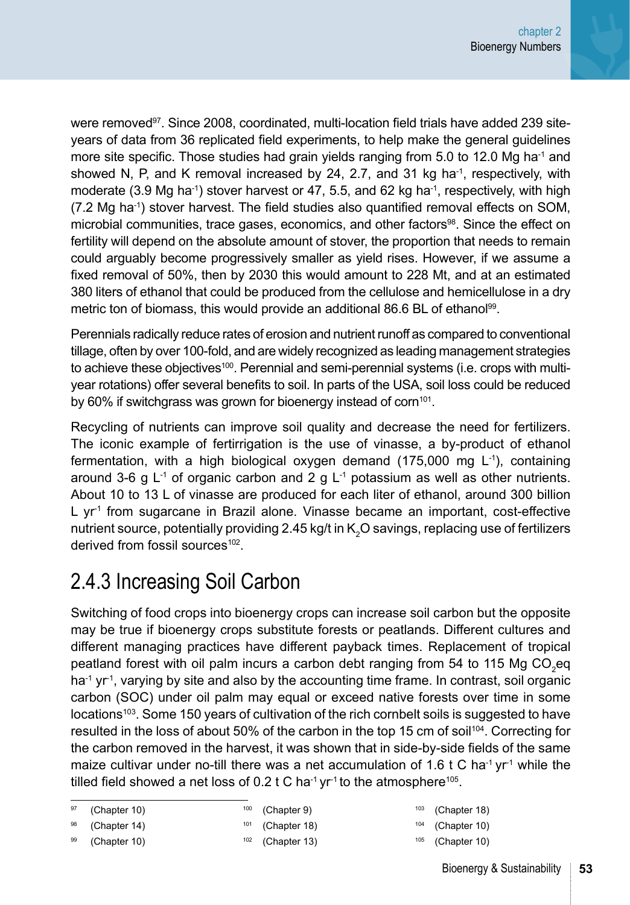<span id="page-25-0"></span>were removed<sup>97</sup>, Since 2008, coordinated, multi-location field trials have added 239 siteyears of data from 36 replicated field experiments, to help make the general guidelines more site specific. Those studies had grain yields ranging from  $5.0$  to 12.0 Mg ha<sup>-1</sup> and showed N, P, and K removal increased by 24, 2.7, and 31 kg ha<sup>-1</sup>, respectively, with moderate (3.9 Mg ha<sup>-1</sup>) stover harvest or 47, 5.5, and 62 kg ha<sup>-1</sup>, respectively, with high (7.2 Mg ha-1) stover harvest. The field studies also quantified removal effects on SOM, microbial communities, trace gases, economics, and other factors<sup>98</sup>. Since the effect on fertility will depend on the absolute amount of stover, the proportion that needs to remain could arguably become progressively smaller as yield rises. However, if we assume a fixed removal of 50%, then by 2030 this would amount to 228 Mt, and at an estimated 380 liters of ethanol that could be produced from the cellulose and hemicellulose in a dry metric ton of biomass, this would provide an additional 86.6 BL of ethanol<sup>99</sup>.

Perennials radically reduce rates of erosion and nutrient runoff as compared to conventional tillage, often by over 100-fold, and are widely recognized as leading management strategies to achieve these objectives $100$ . Perennial and semi-perennial systems (i.e. crops with multiyear rotations) offer several benefits to soil. In parts of the USA, soil loss could be reduced by 60% if switchgrass was grown for bioenergy instead of corn<sup>101</sup>.

Recycling of nutrients can improve soil quality and decrease the need for fertilizers. The iconic example of fertirrigation is the use of vinasse, a by-product of ethanol fermentation, with a high biological oxygen demand  $(175,000 \text{ mg } L^{-1})$ , containing around 3-6 g  $L^{-1}$  of organic carbon and 2 g  $L^{-1}$  potassium as well as other nutrients. About 10 to 13 L of vinasse are produced for each liter of ethanol, around 300 billion L  $yr<sup>1</sup>$  from sugarcane in Brazil alone. Vinasse became an important, cost-effective nutrient source, potentially providing 2.45 kg/t in K<sub>2</sub>O savings, replacing use of fertilizers derived from fossil sources<sup>102</sup>.

## 2.4.3 Increasing Soil Carbon

Switching of food crops into bioenergy crops can increase soil carbon but the opposite may be true if bioenergy crops substitute forests or peatlands. Different cultures and different managing practices have different payback times. Replacement of tropical peatland forest with oil palm incurs a carbon debt ranging from 54 to 115 Mg CO<sub>2</sub>eq  $\text{ha}^{-1}$  yr<sup>-1</sup>, varying by site and also by the accounting time frame. In contrast, soil organic carbon (SOC) under oil palm may equal or exceed native forests over time in some locations<sup>103</sup>. Some 150 years of cultivation of the rich cornbelt soils is suggested to have resulted in the loss of about 50% of the carbon in the top 15 cm of soil<sup>104</sup>. Correcting for the carbon removed in the harvest, it was shown that in side-by-side fields of the same maize cultivar under no-till there was a net accumulation of 1.6 t C ha<sup>-1</sup> yr<sup>-1</sup> while the tilled field showed a net loss of  $0.2$  t C ha<sup>-1</sup> yr<sup>-1</sup> to the atmosphere<sup>105</sup>.

```
100Chapter 9)
```
98 ([Chapter 14](#page--1-0))

99 ([Chapter 10](#page--1-0))

- $101$  ([Chapter 18](#page--1-0))
- $102$  ([Chapter 13](#page--1-0))

 $103$  ([Chapter 18](#page--1-0))  $104$  ([Chapter 10](#page--1-0))

 $105$  ([Chapter 10](#page--1-0))

<sup>(</sup>[Chapter 10](#page--1-0))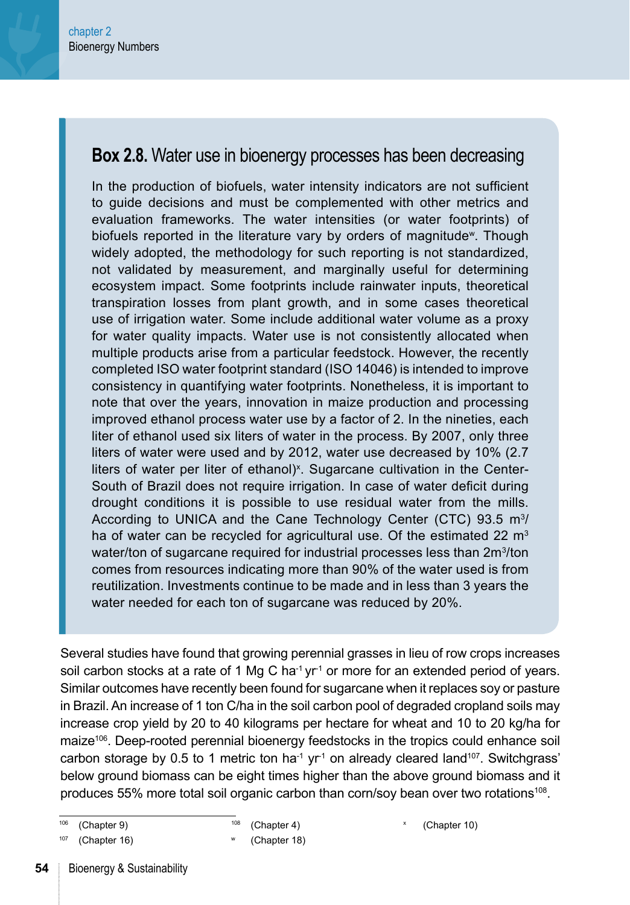#### **Box 2.8.** Water use in bioenergy processes has been decreasing

In the production of biofuels, water intensity indicators are not sufficient to guide decisions and must be complemented with other metrics and evaluation frameworks. The water intensities (or water footprints) of biofuels reported in the literature vary by orders of magnitude<sup>w</sup>. Though widely adopted, the methodology for such reporting is not standardized, not validated by measurement, and marginally useful for determining ecosystem impact. Some footprints include rainwater inputs, theoretical transpiration losses from plant growth, and in some cases theoretical use of irrigation water. Some include additional water volume as a proxy for water quality impacts. Water use is not consistently allocated when multiple products arise from a particular feedstock. However, the recently completed ISO water footprint standard (ISO 14046) is intended to improve consistency in quantifying water footprints. Nonetheless, it is important to note that over the years, innovation in maize production and processing improved ethanol process water use by a factor of 2. In the nineties, each liter of ethanol used six liters of water in the process. By 2007, only three liters of water were used and by 2012, water use decreased by 10% (2.7 liters of water per liter of ethanol)<sup>x</sup>. Sugarcane cultivation in the Center-South of Brazil does not require irrigation. In case of water deficit during drought conditions it is possible to use residual water from the mills. According to UNICA and the Cane Technology Center (CTC) 93.5  $m<sup>3</sup>/$ ha of water can be recycled for agricultural use. Of the estimated 22  $m<sup>3</sup>$ water/ton of sugarcane required for industrial processes less than 2m<sup>3</sup>/ton comes from resources indicating more than 90% of the water used is from reutilization. Investments continue to be made and in less than 3 years the water needed for each ton of sugarcane was reduced by 20%.

Several studies have found that growing perennial grasses in lieu of row crops increases soil carbon stocks at a rate of 1 Mg C ha<sup>-1</sup> yr<sup>-1</sup> or more for an extended period of years. Similar outcomes have recently been found for sugarcane when it replaces soy or pasture in Brazil. An increase of 1 ton C/ha in the soil carbon pool of degraded cropland soils may increase crop yield by 20 to 40 kilograms per hectare for wheat and 10 to 20 kg/ha for maize<sup>106</sup>. Deep-rooted perennial bioenergy feedstocks in the tropics could enhance soil carbon storage by 0.5 to 1 metric ton ha<sup>-1</sup> yr<sup>-1</sup> on already cleared land<sup>107</sup>. Switchgrass' below ground biomass can be eight times higher than the above ground biomass and it produces 55% more total soil organic carbon than corn/soy bean over two rotations<sup>108</sup>.

<sup>106</sup> [\(Chapter 9\)](#page--1-0)

<sup>108</sup> [\(Chapter 4\)](#page--1-0)

[\(Chapter 10\)](#page--1-0)

[<sup>\(</sup>Chapter 16\)](#page--1-0)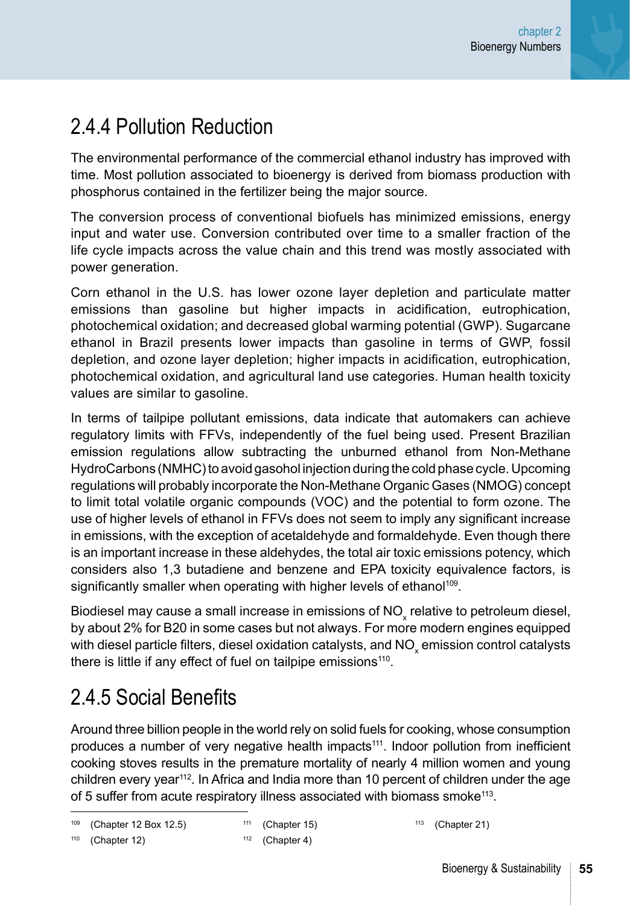## 2.4.4 Pollution Reduction

The environmental performance of the commercial ethanol industry has improved with time. Most pollution associated to bioenergy is derived from biomass production with phosphorus contained in the fertilizer being the major source.

The conversion process of conventional biofuels has minimized emissions, energy input and water use. Conversion contributed over time to a smaller fraction of the life cycle impacts across the value chain and this trend was mostly associated with power generation.

Corn ethanol in the U.S. has lower ozone layer depletion and particulate matter emissions than gasoline but higher impacts in acidification, eutrophication, photochemical oxidation; and decreased global warming potential (GWP). Sugarcane ethanol in Brazil presents lower impacts than gasoline in terms of GWP, fossil depletion, and ozone layer depletion; higher impacts in acidification, eutrophication, photochemical oxidation, and agricultural land use categories. Human health toxicity values are similar to gasoline.

In terms of tailpipe pollutant emissions, data indicate that automakers can achieve regulatory limits with FFVs, independently of the fuel being used. Present Brazilian emission regulations allow subtracting the unburned ethanol from Non-Methane HydroCarbons (NMHC) to avoid gasohol injection during the cold phase cycle. Upcoming regulations will probably incorporate the Non-Methane Organic Gases (NMOG) concept to limit total volatile organic compounds (VOC) and the potential to form ozone. The use of higher levels of ethanol in FFVs does not seem to imply any significant increase in emissions, with the exception of acetaldehyde and formaldehyde. Even though there is an important increase in these aldehydes, the total air toxic emissions potency, which considers also 1,3 butadiene and benzene and EPA toxicity equivalence factors, is significantly smaller when operating with higher levels of ethanol<sup>109</sup>.

Biodiesel may cause a small increase in emissions of NO<sub>x</sub> relative to petroleum diesel, by about 2% for B20 in some cases but not always. For more modern engines equipped with diesel particle filters, diesel oxidation catalysts, and NO $_{\sf x}$  emission control catalysts there is little if any effect of fuel on tailpipe emissions<sup>110</sup>.

## 2.4.5 Social Benefits

Around three billion people in the world rely on solid fuels for cooking, whose consumption produces a number of very negative health impacts<sup>111</sup>. Indoor pollution from inefficient cooking stoves results in the premature mortality of nearly 4 million women and young children every year112. In Africa and India more than 10 percent of children under the age of 5 suffer from acute respiratory illness associated with biomass smoke<sup>113</sup>.

```
109Chapter 12 Box 12.5)
```
 $111$  ([Chapter 15](#page--1-0))

 $110$  ([Chapter 12](#page--1-0))

**55**

 $113$  ([Chapter 21](#page--1-0))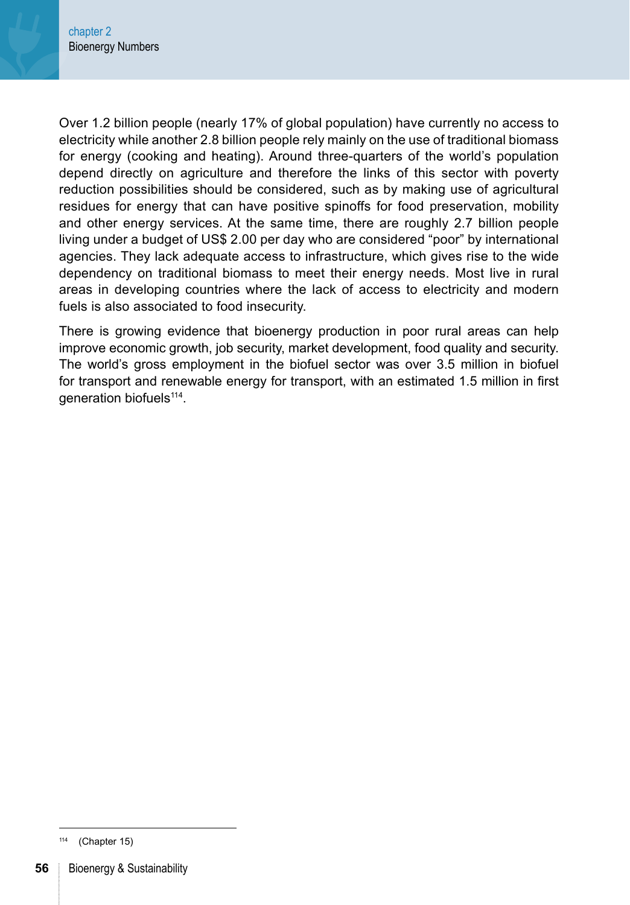Over 1.2 billion people (nearly 17% of global population) have currently no access to electricity while another 2.8 billion people rely mainly on the use of traditional biomass for energy (cooking and heating). Around three-quarters of the world's population depend directly on agriculture and therefore the links of this sector with poverty reduction possibilities should be considered, such as by making use of agricultural residues for energy that can have positive spinoffs for food preservation, mobility and other energy services. At the same time, there are roughly 2.7 billion people living under a budget of US\$ 2.00 per day who are considered "poor" by international agencies. They lack adequate access to infrastructure, which gives rise to the wide dependency on traditional biomass to meet their energy needs. Most live in rural areas in developing countries where the lack of access to electricity and modern fuels is also associated to food insecurity.

There is growing evidence that bioenergy production in poor rural areas can help improve economic growth, job security, market development, food quality and security. The world's gross employment in the biofuel sector was over 3.5 million in biofuel for transport and renewable energy for transport, with an estimated 1.5 million in first generation biofuels<sup>114</sup>.

<sup>114</sup> [\(Chapter 15\)](#page--1-0)